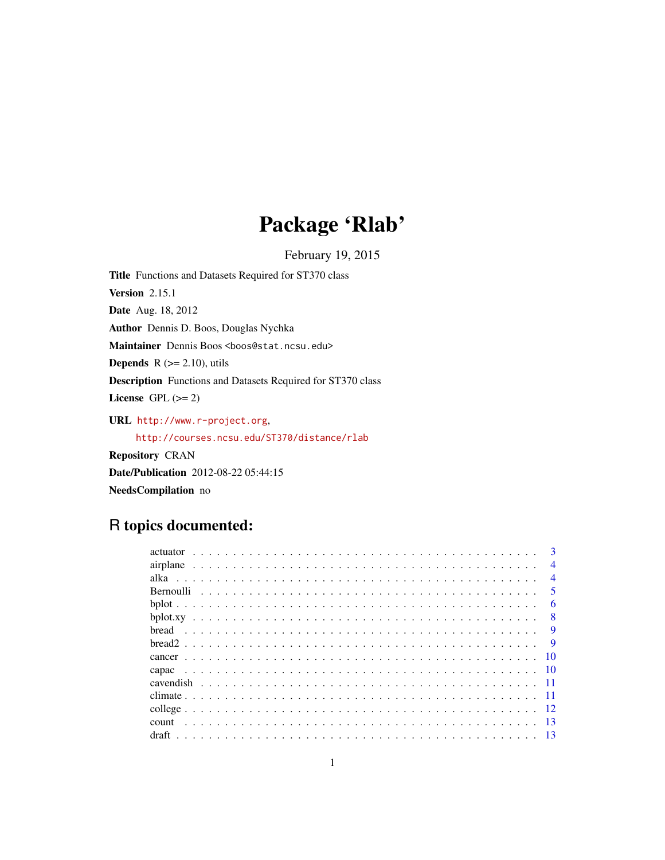# Package 'Rlab'

February 19, 2015

<span id="page-0-0"></span>Title Functions and Datasets Required for ST370 class Version 2.15.1 Date Aug. 18, 2012 Author Dennis D. Boos, Douglas Nychka Maintainer Dennis Boos <boos@stat.ncsu.edu> **Depends**  $R$  ( $>= 2.10$ ), utils Description Functions and Datasets Required for ST370 class License GPL  $(>= 2)$ URL <http://www.r-project.org>, <http://courses.ncsu.edu/ST370/distance/rlab> Repository CRAN

Date/Publication 2012-08-22 05:44:15 NeedsCompilation no

# R topics documented:

|          |  |  |  |  |  |  |  |  |  |  |  |  |  |  |  |  |  |  |  |  | $\mathbf{R}$   |
|----------|--|--|--|--|--|--|--|--|--|--|--|--|--|--|--|--|--|--|--|--|----------------|
|          |  |  |  |  |  |  |  |  |  |  |  |  |  |  |  |  |  |  |  |  | $\overline{4}$ |
|          |  |  |  |  |  |  |  |  |  |  |  |  |  |  |  |  |  |  |  |  | $\overline{4}$ |
|          |  |  |  |  |  |  |  |  |  |  |  |  |  |  |  |  |  |  |  |  | $\sim$         |
|          |  |  |  |  |  |  |  |  |  |  |  |  |  |  |  |  |  |  |  |  | 6              |
|          |  |  |  |  |  |  |  |  |  |  |  |  |  |  |  |  |  |  |  |  | 8              |
|          |  |  |  |  |  |  |  |  |  |  |  |  |  |  |  |  |  |  |  |  | <b>q</b>       |
| $break2$ |  |  |  |  |  |  |  |  |  |  |  |  |  |  |  |  |  |  |  |  | $\mathbf Q$    |
|          |  |  |  |  |  |  |  |  |  |  |  |  |  |  |  |  |  |  |  |  | -10            |
|          |  |  |  |  |  |  |  |  |  |  |  |  |  |  |  |  |  |  |  |  |                |
|          |  |  |  |  |  |  |  |  |  |  |  |  |  |  |  |  |  |  |  |  |                |
|          |  |  |  |  |  |  |  |  |  |  |  |  |  |  |  |  |  |  |  |  |                |
|          |  |  |  |  |  |  |  |  |  |  |  |  |  |  |  |  |  |  |  |  |                |
|          |  |  |  |  |  |  |  |  |  |  |  |  |  |  |  |  |  |  |  |  |                |
|          |  |  |  |  |  |  |  |  |  |  |  |  |  |  |  |  |  |  |  |  |                |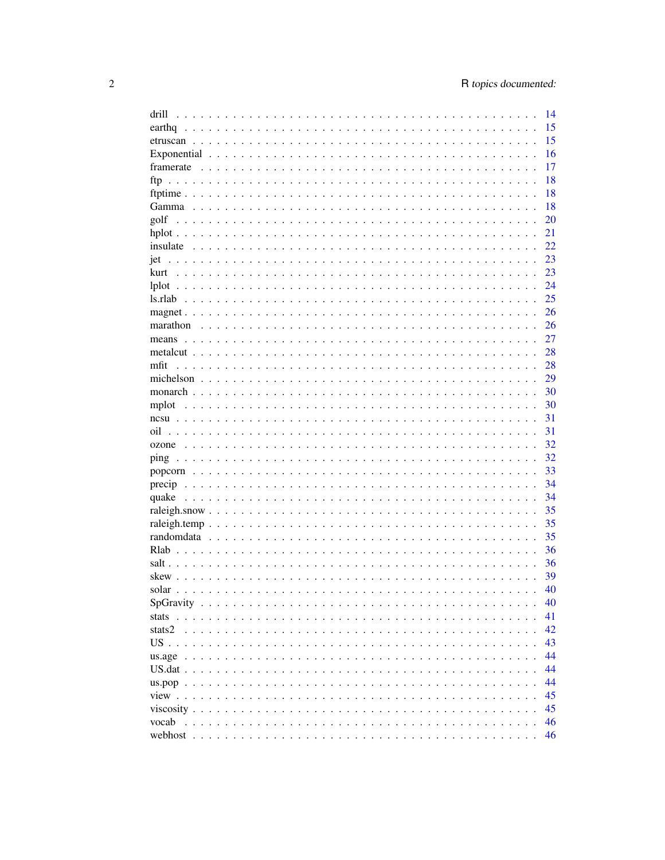| drill | 14 |
|-------|----|
|       | 15 |
|       | 15 |
|       | 16 |
|       | 17 |
|       | 18 |
|       | 18 |
|       | 18 |
|       | 20 |
|       | 21 |
|       | 22 |
|       | 23 |
|       |    |
|       | 23 |
|       | 24 |
|       | 25 |
|       | 26 |
|       | 26 |
|       | 27 |
|       | 28 |
| mfit  | 28 |
|       | 29 |
|       | 30 |
| mplot | 30 |
|       | 31 |
| oil   | 31 |
|       | 32 |
|       | 32 |
|       | 33 |
|       | 34 |
|       | 34 |
|       | 35 |
|       |    |
|       | 35 |
|       | 35 |
|       | 36 |
|       | 36 |
|       | 39 |
|       | 40 |
|       | 40 |
|       | 41 |
|       | 42 |
|       | 43 |
|       | 44 |
|       | 44 |
|       | 44 |
|       | 45 |
|       | 45 |
|       |    |
|       | 46 |
|       | 46 |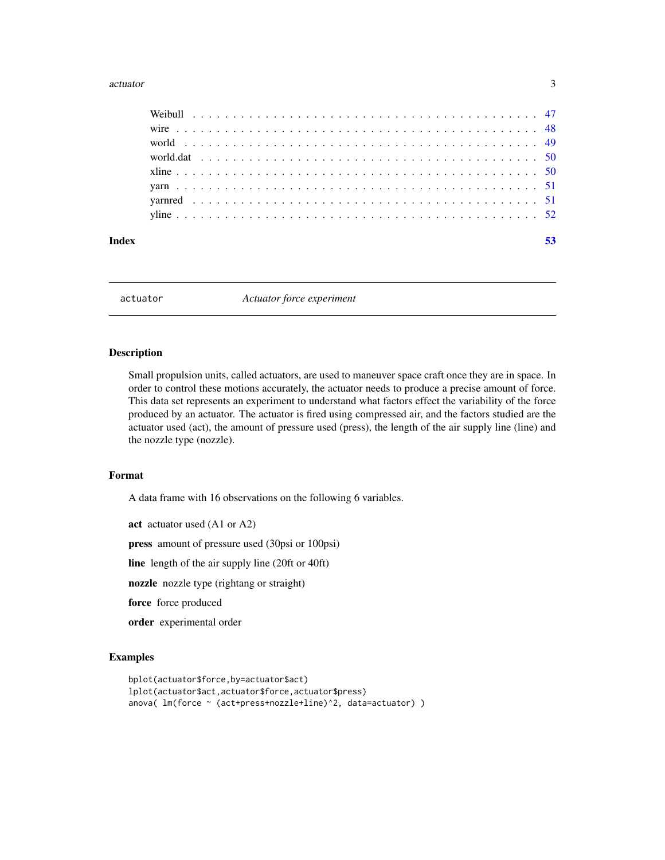#### <span id="page-2-0"></span>actuator 3

| Index |  |  |  |  |  |  |  |  |  |  |  |  |  |  |  |  |  |  |  |  |  |
|-------|--|--|--|--|--|--|--|--|--|--|--|--|--|--|--|--|--|--|--|--|--|
|       |  |  |  |  |  |  |  |  |  |  |  |  |  |  |  |  |  |  |  |  |  |

actuator *Actuator force experiment*

# Description

Small propulsion units, called actuators, are used to maneuver space craft once they are in space. In order to control these motions accurately, the actuator needs to produce a precise amount of force. This data set represents an experiment to understand what factors effect the variability of the force produced by an actuator. The actuator is fired using compressed air, and the factors studied are the actuator used (act), the amount of pressure used (press), the length of the air supply line (line) and the nozzle type (nozzle).

#### Format

A data frame with 16 observations on the following 6 variables.

act actuator used (A1 or A2)

press amount of pressure used (30psi or 100psi)

line length of the air supply line (20ft or 40ft)

nozzle nozzle type (rightang or straight)

force force produced

order experimental order

```
bplot(actuator$force,by=actuator$act)
lplot(actuator$act,actuator$force,actuator$press)
anova( lm(force ~ (act+press+nozzle+line)^2, data=actuator) )
```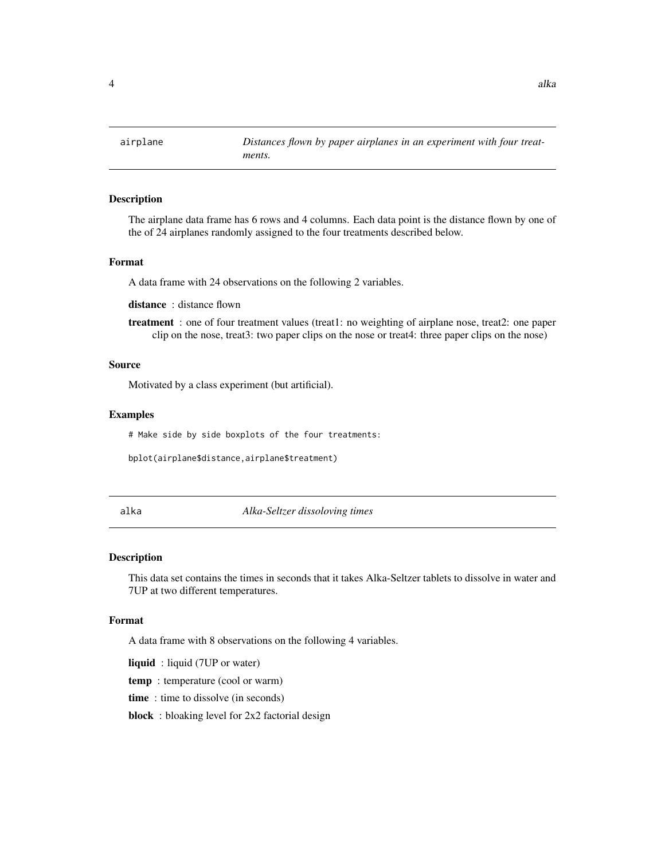<span id="page-3-0"></span>

The airplane data frame has 6 rows and 4 columns. Each data point is the distance flown by one of the of 24 airplanes randomly assigned to the four treatments described below.

## Format

A data frame with 24 observations on the following 2 variables.

distance: distance flown

treatment : one of four treatment values (treat1: no weighting of airplane nose, treat2: one paper clip on the nose, treat3: two paper clips on the nose or treat4: three paper clips on the nose)

# Source

Motivated by a class experiment (but artificial).

#### Examples

# Make side by side boxplots of the four treatments:

bplot(airplane\$distance,airplane\$treatment)

#### alka *Alka-Seltzer dissoloving times*

#### Description

This data set contains the times in seconds that it takes Alka-Seltzer tablets to dissolve in water and 7UP at two different temperatures.

#### Format

A data frame with 8 observations on the following 4 variables.

liquid : liquid (7UP or water)

temp : temperature (cool or warm)

time : time to dissolve (in seconds)

block : bloaking level for 2x2 factorial design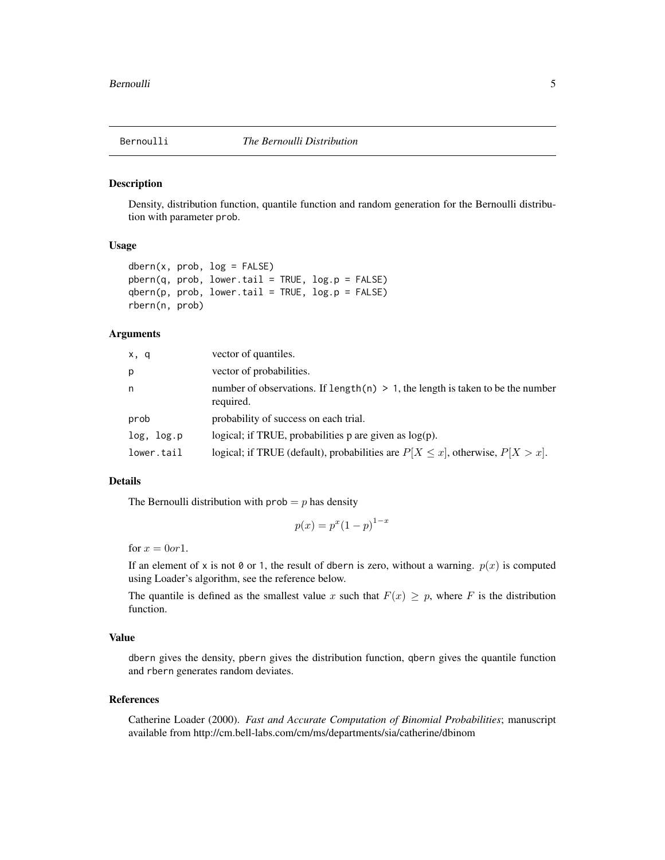<span id="page-4-0"></span>

Density, distribution function, quantile function and random generation for the Bernoulli distribution with parameter prob.

### Usage

```
dbern(x, prob, log = FALSE)pbern(q, prob, lower.tail = TRUE, log.p = FALSE)qbern(p, prob, lower.tail = TRUE, log.p = FALSE)rbern(n, prob)
```
# Arguments

| x, q       | vector of quantiles.                                                                           |
|------------|------------------------------------------------------------------------------------------------|
| р          | vector of probabilities.                                                                       |
| n          | number of observations. If length(n) $> 1$ , the length is taken to be the number<br>required. |
| prob       | probability of success on each trial.                                                          |
| log, log.p | logical; if TRUE, probabilities $p$ are given as $log(p)$ .                                    |
| lower.tail | logical; if TRUE (default), probabilities are $P[X \le x]$ , otherwise, $P[X > x]$ .           |

#### Details

The Bernoulli distribution with  $prob = p$  has density

$$
p(x) = p^x (1 - p)^{1 - x}
$$

for  $x = 0$ or 1.

If an element of x is not  $\emptyset$  or 1, the result of dbern is zero, without a warning.  $p(x)$  is computed using Loader's algorithm, see the reference below.

The quantile is defined as the smallest value x such that  $F(x) \geq p$ , where F is the distribution function.

#### Value

dbern gives the density, pbern gives the distribution function, qbern gives the quantile function and rbern generates random deviates.

#### References

Catherine Loader (2000). *Fast and Accurate Computation of Binomial Probabilities*; manuscript available from http://cm.bell-labs.com/cm/ms/departments/sia/catherine/dbinom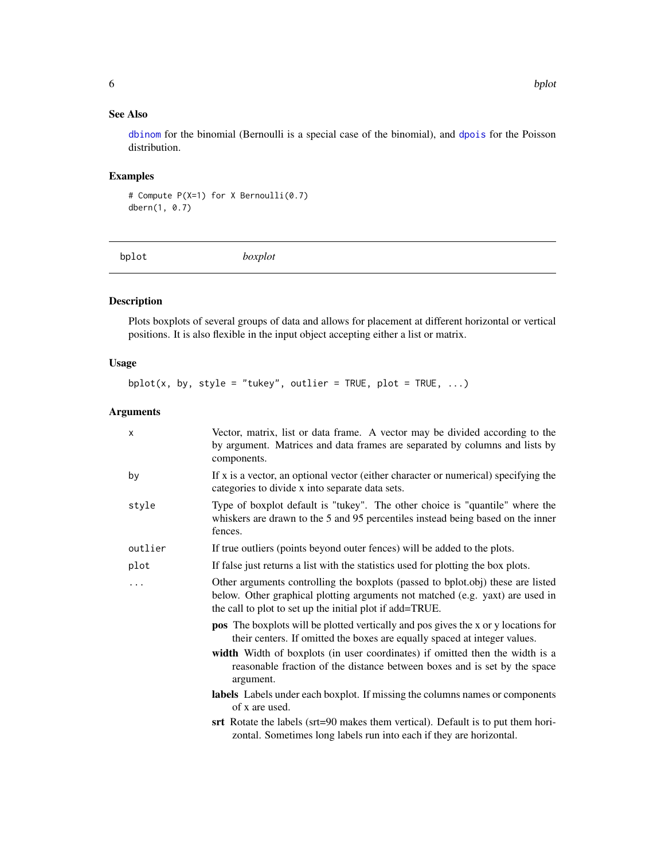# <span id="page-5-0"></span>See Also

[dbinom](#page-0-0) for the binomial (Bernoulli is a special case of the binomial), and [dpois](#page-0-0) for the Poisson distribution.

# Examples

# Compute P(X=1) for X Bernoulli(0.7) dbern(1, 0.7)

bplot *boxplot*

# Description

Plots boxplots of several groups of data and allows for placement at different horizontal or vertical positions. It is also flexible in the input object accepting either a list or matrix.

# Usage

 $bplot(x, by, style = "tukey", outlier = TRUE, plot = TRUE, ...)$ 

# Arguments

| х       | Vector, matrix, list or data frame. A vector may be divided according to the<br>by argument. Matrices and data frames are separated by columns and lists by<br>components.                                                   |
|---------|------------------------------------------------------------------------------------------------------------------------------------------------------------------------------------------------------------------------------|
| by      | If x is a vector, an optional vector (either character or numerical) specifying the<br>categories to divide x into separate data sets.                                                                                       |
| style   | Type of boxplot default is "tukey". The other choice is "quantile" where the<br>whiskers are drawn to the 5 and 95 percentiles instead being based on the inner<br>fences.                                                   |
| outlier | If true outliers (points beyond outer fences) will be added to the plots.                                                                                                                                                    |
| plot    | If false just returns a list with the statistics used for plotting the box plots.                                                                                                                                            |
| .       | Other arguments controlling the boxplots (passed to bplot.obj) these are listed<br>below. Other graphical plotting arguments not matched (e.g. yaxt) are used in<br>the call to plot to set up the initial plot if add=TRUE. |
|         | <b>pos</b> The boxplots will be plotted vertically and pos gives the x or y locations for<br>their centers. If omitted the boxes are equally spaced at integer values.                                                       |
|         | width Width of boxplots (in user coordinates) if omitted then the width is a<br>reasonable fraction of the distance between boxes and is set by the space<br>argument.                                                       |
|         | labels Labels under each boxplot. If missing the columns names or components<br>of x are used.                                                                                                                               |
|         | srt Rotate the labels (srt=90 makes them vertical). Default is to put them hori-<br>zontal. Sometimes long labels run into each if they are horizontal.                                                                      |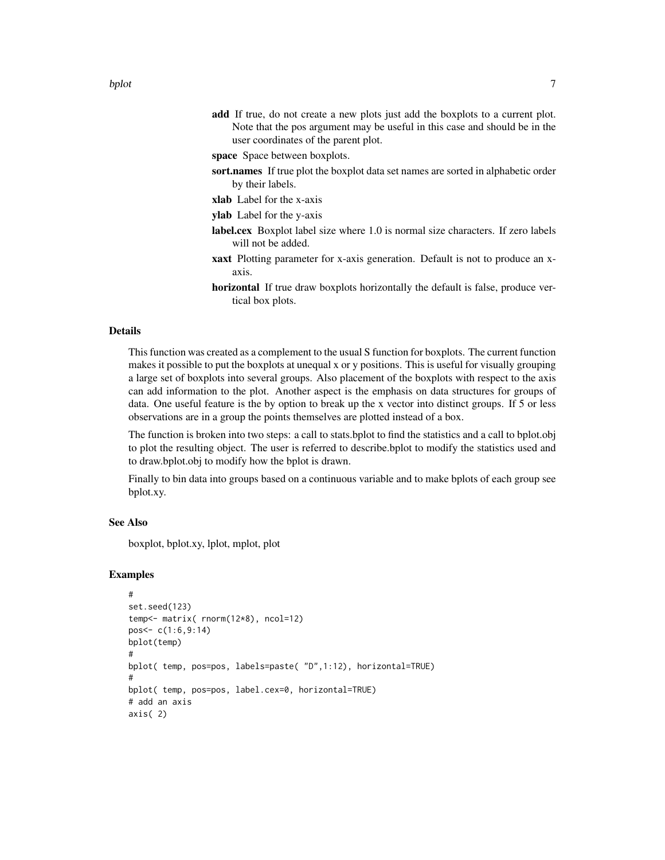- add If true, do not create a new plots just add the boxplots to a current plot. Note that the pos argument may be useful in this case and should be in the user coordinates of the parent plot.
- space Space between boxplots.
- sort.names If true plot the boxplot data set names are sorted in alphabetic order by their labels.
- xlab Label for the x-axis
- ylab Label for the y-axis
- label.cex Boxplot label size where 1.0 is normal size characters. If zero labels will not be added.
- xaxt Plotting parameter for x-axis generation. Default is not to produce an xaxis.
- horizontal If true draw boxplots horizontally the default is false, produce vertical box plots.

# Details

This function was created as a complement to the usual S function for boxplots. The current function makes it possible to put the boxplots at unequal x or y positions. This is useful for visually grouping a large set of boxplots into several groups. Also placement of the boxplots with respect to the axis can add information to the plot. Another aspect is the emphasis on data structures for groups of data. One useful feature is the by option to break up the x vector into distinct groups. If 5 or less observations are in a group the points themselves are plotted instead of a box.

The function is broken into two steps: a call to stats.bplot to find the statistics and a call to bplot.obj to plot the resulting object. The user is referred to describe.bplot to modify the statistics used and to draw.bplot.obj to modify how the bplot is drawn.

Finally to bin data into groups based on a continuous variable and to make bplots of each group see bplot.xy.

### See Also

boxplot, bplot.xy, lplot, mplot, plot

```
#
set.seed(123)
temp<- matrix( rnorm(12*8), ncol=12)
pos<- c(1:6,9:14)
bplot(temp)
#
bplot( temp, pos=pos, labels=paste( "D",1:12), horizontal=TRUE)
#
bplot( temp, pos=pos, label.cex=0, horizontal=TRUE)
# add an axis
axis( 2)
```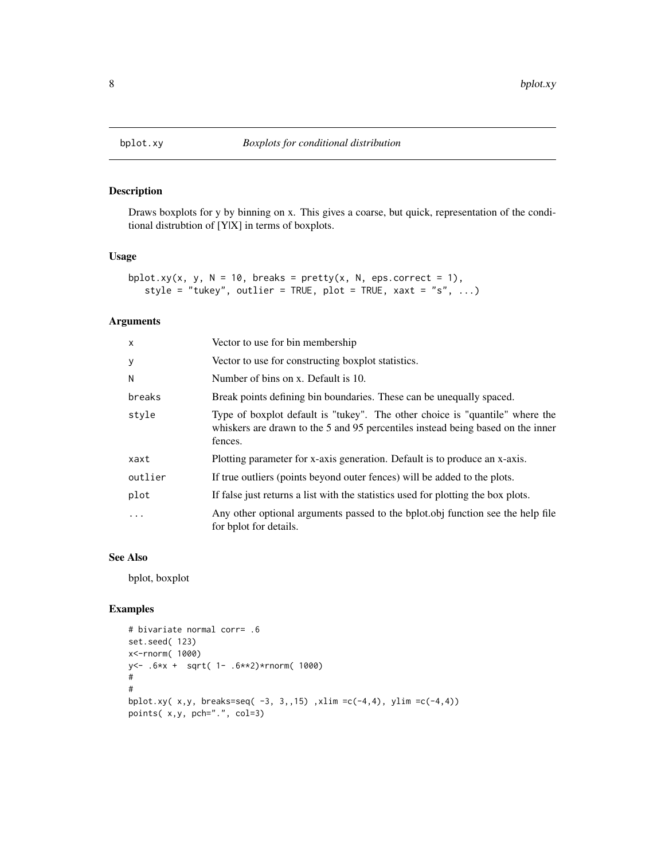<span id="page-7-0"></span>

Draws boxplots for y by binning on x. This gives a coarse, but quick, representation of the conditional distrubtion of [Y|X] in terms of boxplots.

# Usage

```
bplot.xy(x, y, N = 10, breaks = pretty(x, N, eps.correct = 1),
   style = "tukey", outlier = TRUE, plot = TRUE, xaxt = "s", ...)
```
# Arguments

| $\mathsf{x}$ | Vector to use for bin membership                                                                                                                                           |
|--------------|----------------------------------------------------------------------------------------------------------------------------------------------------------------------------|
| y            | Vector to use for constructing boxplot statistics.                                                                                                                         |
| N            | Number of bins on x. Default is 10.                                                                                                                                        |
| breaks       | Break points defining bin boundaries. These can be unequally spaced.                                                                                                       |
| style        | Type of boxplot default is "tukey". The other choice is "quantile" where the<br>whiskers are drawn to the 5 and 95 percentiles instead being based on the inner<br>fences. |
| xaxt         | Plotting parameter for x-axis generation. Default is to produce an x-axis.                                                                                                 |
| outlier      | If true outliers (points beyond outer fences) will be added to the plots.                                                                                                  |
| plot         | If false just returns a list with the statistics used for plotting the box plots.                                                                                          |
| $\ddotsc$    | Any other optional arguments passed to the bplot.obj function see the help file<br>for bplot for details.                                                                  |

# See Also

bplot, boxplot

```
# bivariate normal corr= .6
set.seed( 123)
x<-rnorm( 1000)
y<- .6*x + sqrt( 1- .6**2)*rnorm( 1000)
#
#
bplot.xy( x,y, breaks=seq( -3, 3,,15) ,xlim =c(-4,4), ylim =c(-4,4))
points( x,y, pch=".", col=3)
```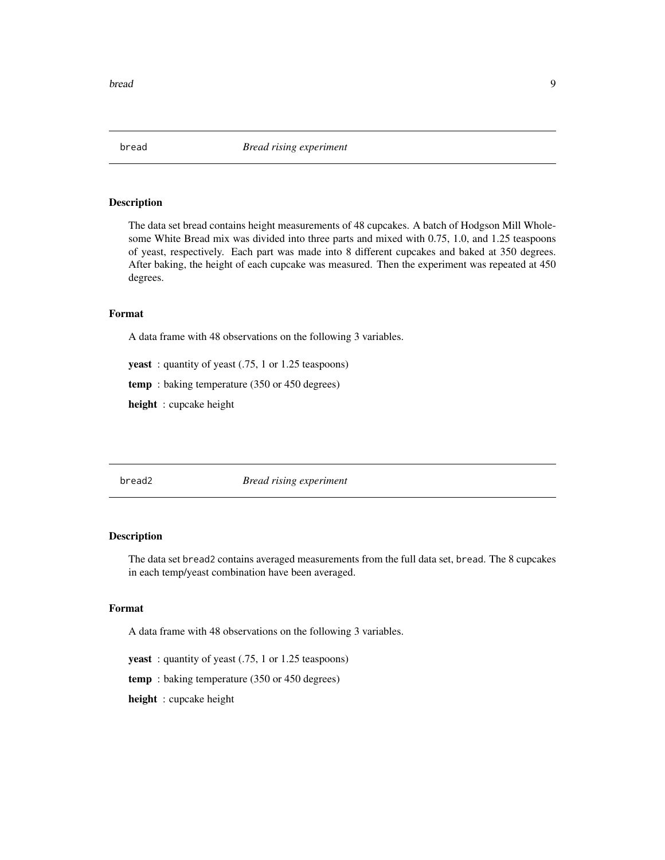<span id="page-8-0"></span>

The data set bread contains height measurements of 48 cupcakes. A batch of Hodgson Mill Wholesome White Bread mix was divided into three parts and mixed with 0.75, 1.0, and 1.25 teaspoons of yeast, respectively. Each part was made into 8 different cupcakes and baked at 350 degrees. After baking, the height of each cupcake was measured. Then the experiment was repeated at 450 degrees.

#### Format

A data frame with 48 observations on the following 3 variables.

yeast: quantity of yeast (.75, 1 or 1.25 teaspoons)

temp : baking temperature (350 or 450 degrees)

height : cupcake height

bread2 *Bread rising experiment*

# Description

The data set bread2 contains averaged measurements from the full data set, bread. The 8 cupcakes in each temp/yeast combination have been averaged.

#### Format

A data frame with 48 observations on the following 3 variables.

yeast: quantity of yeast (.75, 1 or 1.25 teaspoons)

temp : baking temperature (350 or 450 degrees)

height : cupcake height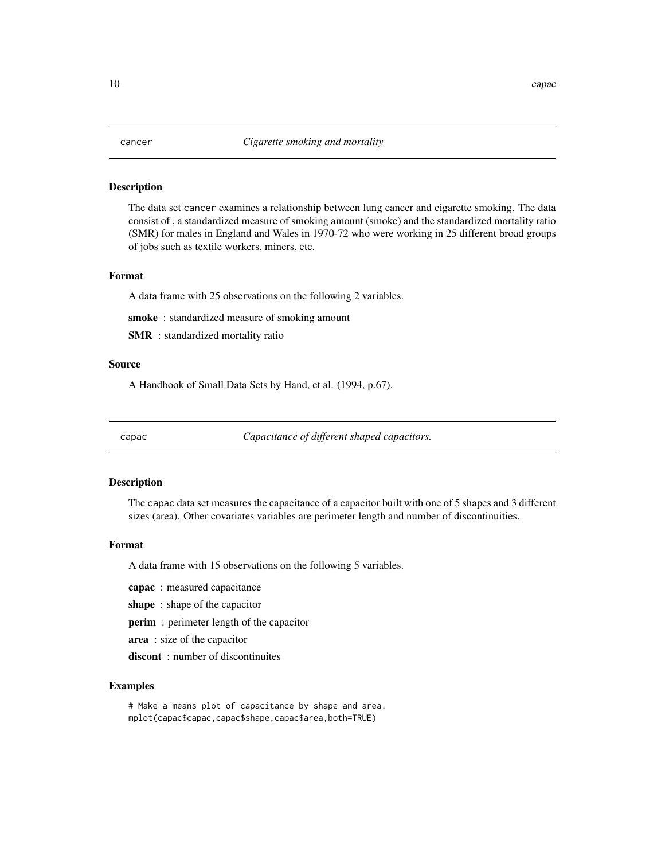<span id="page-9-0"></span>The data set cancer examines a relationship between lung cancer and cigarette smoking. The data consist of , a standardized measure of smoking amount (smoke) and the standardized mortality ratio (SMR) for males in England and Wales in 1970-72 who were working in 25 different broad groups of jobs such as textile workers, miners, etc.

# Format

A data frame with 25 observations on the following 2 variables.

smoke : standardized measure of smoking amount

SMR : standardized mortality ratio

# Source

A Handbook of Small Data Sets by Hand, et al. (1994, p.67).

capac *Capacitance of different shaped capacitors.*

# Description

The capac data set measures the capacitance of a capacitor built with one of 5 shapes and 3 different sizes (area). Other covariates variables are perimeter length and number of discontinuities.

#### Format

A data frame with 15 observations on the following 5 variables.

capac : measured capacitance

shape: shape of the capacitor

perim : perimeter length of the capacitor

area : size of the capacitor

discont: number of discontinuites

# Examples

# Make a means plot of capacitance by shape and area. mplot(capac\$capac,capac\$shape,capac\$area,both=TRUE)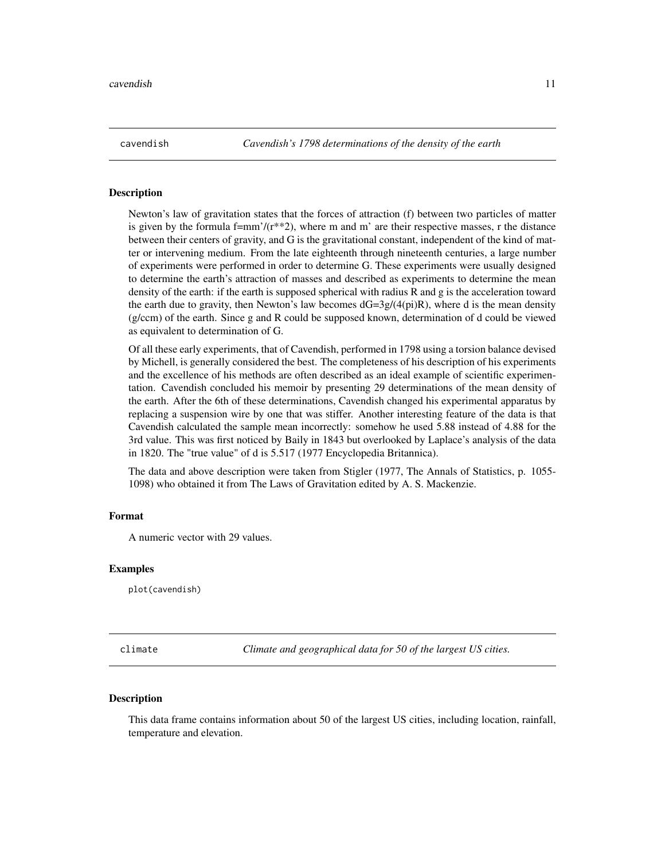<span id="page-10-0"></span>cavendish *Cavendish's 1798 determinations of the density of the earth*

#### **Description**

Newton's law of gravitation states that the forces of attraction (f) between two particles of matter is given by the formula f=mm'/( $r^{**}2$ ), where m and m' are their respective masses, r the distance between their centers of gravity, and G is the gravitational constant, independent of the kind of matter or intervening medium. From the late eighteenth through nineteenth centuries, a large number of experiments were performed in order to determine G. These experiments were usually designed to determine the earth's attraction of masses and described as experiments to determine the mean density of the earth: if the earth is supposed spherical with radius R and g is the acceleration toward the earth due to gravity, then Newton's law becomes  $dG=3g/(4pi)R$ ), where d is the mean density (g/ccm) of the earth. Since g and R could be supposed known, determination of d could be viewed as equivalent to determination of G.

Of all these early experiments, that of Cavendish, performed in 1798 using a torsion balance devised by Michell, is generally considered the best. The completeness of his description of his experiments and the excellence of his methods are often described as an ideal example of scientific experimentation. Cavendish concluded his memoir by presenting 29 determinations of the mean density of the earth. After the 6th of these determinations, Cavendish changed his experimental apparatus by replacing a suspension wire by one that was stiffer. Another interesting feature of the data is that Cavendish calculated the sample mean incorrectly: somehow he used 5.88 instead of 4.88 for the 3rd value. This was first noticed by Baily in 1843 but overlooked by Laplace's analysis of the data in 1820. The "true value" of d is 5.517 (1977 Encyclopedia Britannica).

The data and above description were taken from Stigler (1977, The Annals of Statistics, p. 1055- 1098) who obtained it from The Laws of Gravitation edited by A. S. Mackenzie.

#### Format

A numeric vector with 29 values.

#### Examples

plot(cavendish)

climate *Climate and geographical data for 50 of the largest US cities.*

#### Description

This data frame contains information about 50 of the largest US cities, including location, rainfall, temperature and elevation.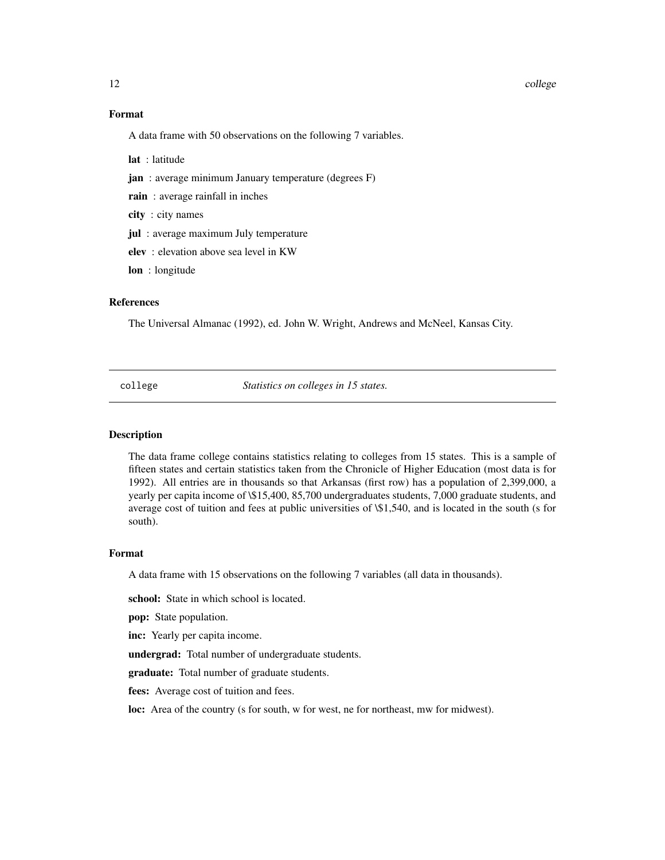#### <span id="page-11-0"></span>12 college and the college and the college and the college and the college and the college and the college and the college and the college and the college and the college and the college and the college and the college and

#### Format

A data frame with 50 observations on the following 7 variables.

lat : latitude

jan : average minimum January temperature (degrees F)

rain: average rainfall in inches

city : city names

jul : average maximum July temperature

elev : elevation above sea level in KW

lon : longitude

#### References

The Universal Almanac (1992), ed. John W. Wright, Andrews and McNeel, Kansas City.

college *Statistics on colleges in 15 states.*

#### Description

The data frame college contains statistics relating to colleges from 15 states. This is a sample of fifteen states and certain statistics taken from the Chronicle of Higher Education (most data is for 1992). All entries are in thousands so that Arkansas (first row) has a population of 2,399,000, a yearly per capita income of \\$15,400, 85,700 undergraduates students, 7,000 graduate students, and average cost of tuition and fees at public universities of \\$1,540, and is located in the south (s for south).

#### Format

A data frame with 15 observations on the following 7 variables (all data in thousands).

school: State in which school is located.

pop: State population.

inc: Yearly per capita income.

undergrad: Total number of undergraduate students.

graduate: Total number of graduate students.

fees: Average cost of tuition and fees.

loc: Area of the country (s for south, w for west, ne for northeast, mw for midwest).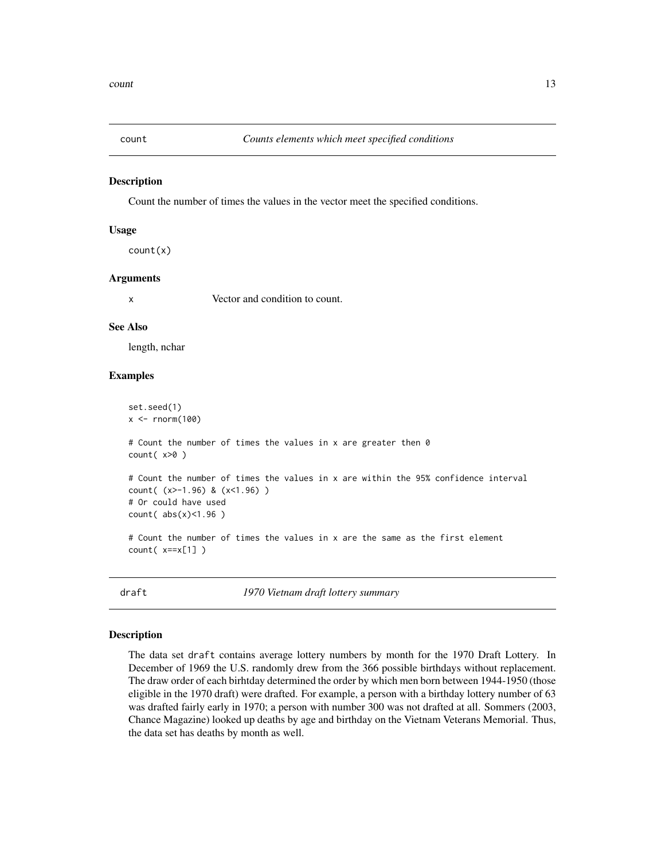<span id="page-12-0"></span>

Count the number of times the values in the vector meet the specified conditions.

#### Usage

count(x)

#### Arguments

x Vector and condition to count.

#### See Also

length, nchar

#### Examples

```
set.seed(1)
x < - rnorm(100)
# Count the number of times the values in x are greater then 0
count( x>0 )
# Count the number of times the values in x are within the 95% confidence interval
count( (x>-1.96) & (x<1.96) )
# Or could have used
count( abs(x)<1.96 )
# Count the number of times the values in x are the same as the first element
count( x==x[1] )
```
draft *1970 Vietnam draft lottery summary*

#### Description

The data set draft contains average lottery numbers by month for the 1970 Draft Lottery. In December of 1969 the U.S. randomly drew from the 366 possible birthdays without replacement. The draw order of each birhtday determined the order by which men born between 1944-1950 (those eligible in the 1970 draft) were drafted. For example, a person with a birthday lottery number of 63 was drafted fairly early in 1970; a person with number 300 was not drafted at all. Sommers (2003, Chance Magazine) looked up deaths by age and birthday on the Vietnam Veterans Memorial. Thus, the data set has deaths by month as well.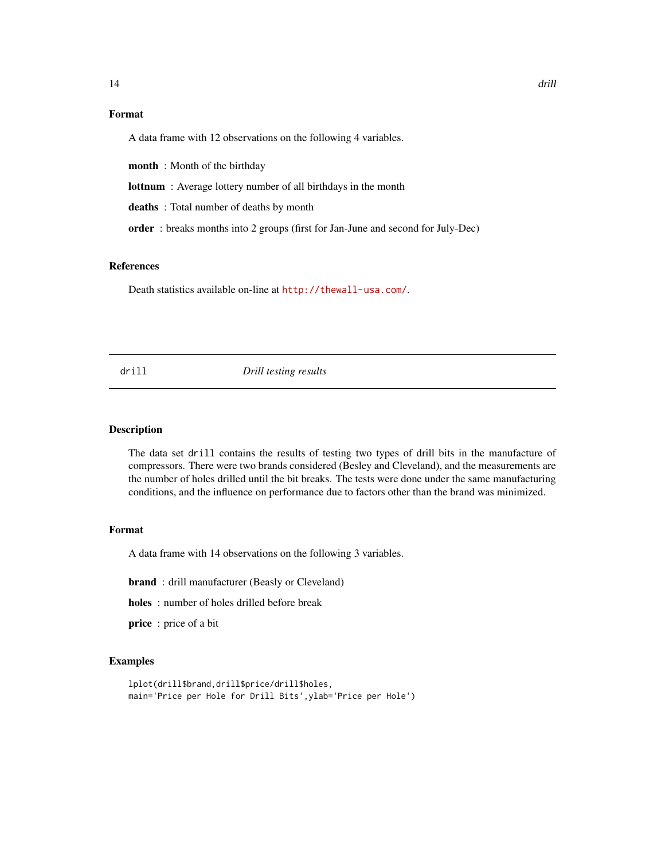# <span id="page-13-0"></span>Format

A data frame with 12 observations on the following 4 variables.

month : Month of the birthday

lottnum : Average lottery number of all birthdays in the month

deaths : Total number of deaths by month

order : breaks months into 2 groups (first for Jan-June and second for July-Dec)

### References

Death statistics available on-line at  $http://thewall-usa.com/$ .

drill *Drill testing results*

#### Description

The data set drill contains the results of testing two types of drill bits in the manufacture of compressors. There were two brands considered (Besley and Cleveland), and the measurements are the number of holes drilled until the bit breaks. The tests were done under the same manufacturing conditions, and the influence on performance due to factors other than the brand was minimized.

#### Format

A data frame with 14 observations on the following 3 variables.

brand : drill manufacturer (Beasly or Cleveland)

holes : number of holes drilled before break

price : price of a bit

```
lplot(drill$brand,drill$price/drill$holes,
main='Price per Hole for Drill Bits',ylab='Price per Hole')
```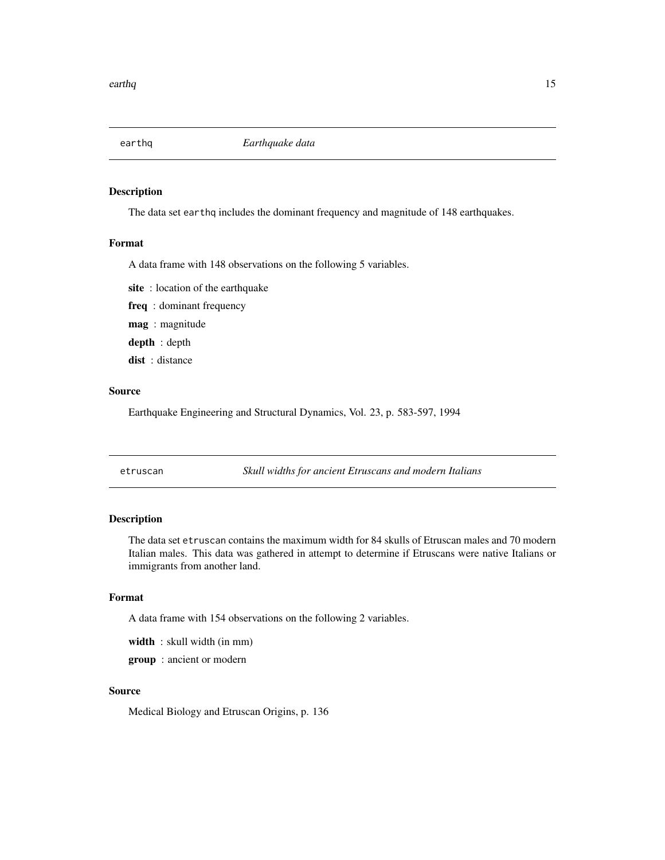<span id="page-14-0"></span>

The data set earthq includes the dominant frequency and magnitude of 148 earthquakes.

#### Format

A data frame with 148 observations on the following 5 variables.

site : location of the earthquake

freq : dominant frequency

mag : magnitude

depth : depth

dist : distance

#### Source

Earthquake Engineering and Structural Dynamics, Vol. 23, p. 583-597, 1994

etruscan *Skull widths for ancient Etruscans and modern Italians*

# Description

The data set etruscan contains the maximum width for 84 skulls of Etruscan males and 70 modern Italian males. This data was gathered in attempt to determine if Etruscans were native Italians or immigrants from another land.

# Format

A data frame with 154 observations on the following 2 variables.

width : skull width (in mm)

group : ancient or modern

#### Source

Medical Biology and Etruscan Origins, p. 136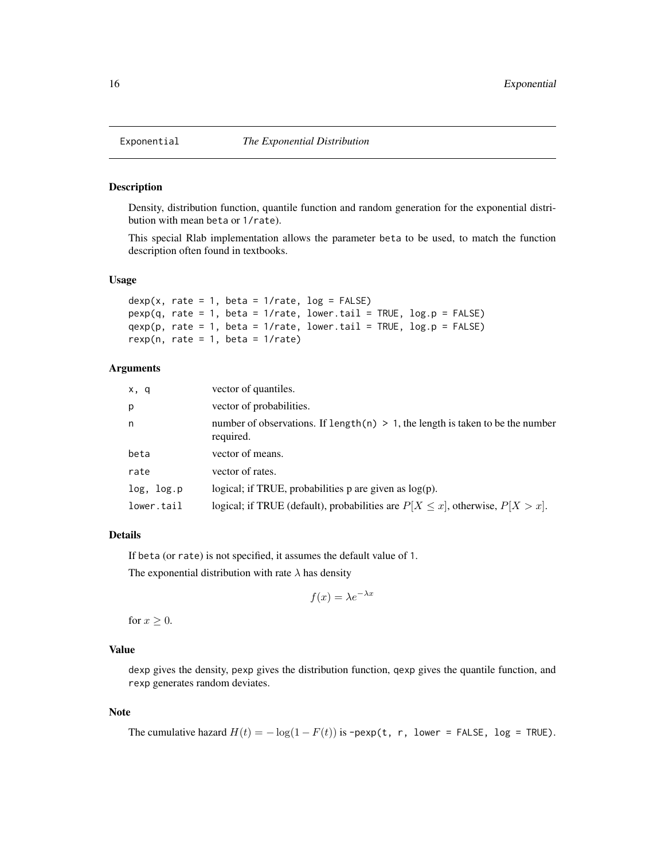<span id="page-15-1"></span><span id="page-15-0"></span>

Density, distribution function, quantile function and random generation for the exponential distribution with mean beta or 1/rate).

This special Rlab implementation allows the parameter beta to be used, to match the function description often found in textbooks.

#### Usage

```
dexp(x, rate = 1, beta = 1/rate, log = FALSE)pexp(q, rate = 1, beta = 1/rate, lower.tail = TRUE, log.p = FALSE)qexp(p, rate = 1, beta = 1/rate, lowere1 = TRUE, log.p = FALSE)rexp(n, rate = 1, beta = 1/rate)
```
#### Arguments

| x, q       | vector of quantiles.                                                                           |
|------------|------------------------------------------------------------------------------------------------|
| р          | vector of probabilities.                                                                       |
| n          | number of observations. If length(n) $> 1$ , the length is taken to be the number<br>required. |
| beta       | vector of means.                                                                               |
| rate       | vector of rates.                                                                               |
| log, log.p | logical; if TRUE, probabilities $p$ are given as $log(p)$ .                                    |
| lower.tail | logical; if TRUE (default), probabilities are $P[X \le x]$ , otherwise, $P[X > x]$ .           |

# Details

If beta (or rate) is not specified, it assumes the default value of 1.

The exponential distribution with rate  $\lambda$  has density

$$
f(x) = \lambda e^{-\lambda x}
$$

for  $x \geq 0$ .

#### Value

dexp gives the density, pexp gives the distribution function, qexp gives the quantile function, and rexp generates random deviates.

## Note

```
The cumulative hazard H(t) = -\log(1 - F(t)) is -pexp(t, r, lower = FALSE, log = TRUE).
```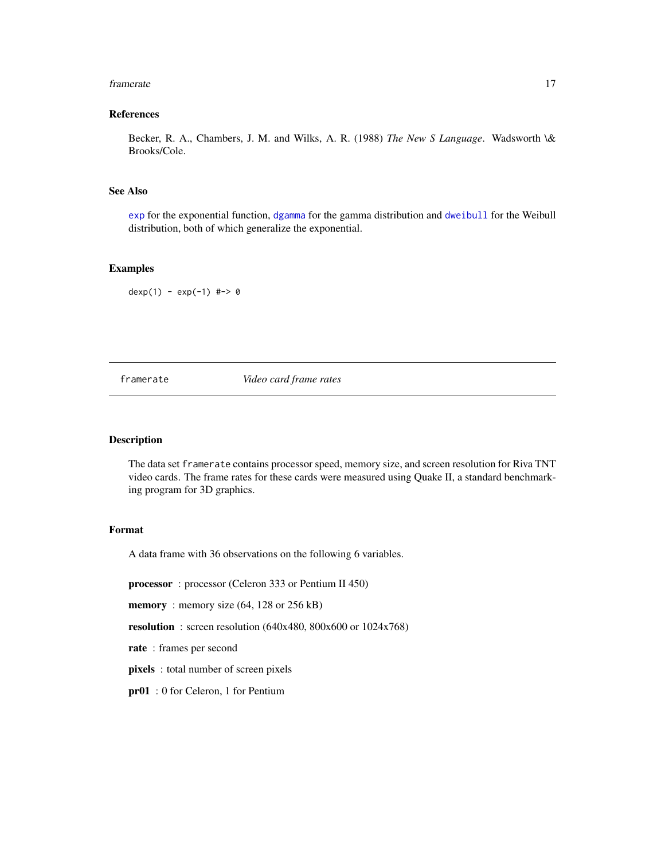#### <span id="page-16-0"></span>framerate the contract of the contract of the contract of the contract of the contract of the contract of the contract of the contract of the contract of the contract of the contract of the contract of the contract of the

# References

Becker, R. A., Chambers, J. M. and Wilks, A. R. (1988) *The New S Language*. Wadsworth \& Brooks/Cole.

# See Also

[exp](#page-0-0) for the exponential function, [dgamma](#page-17-1) for the gamma distribution and [dweibull](#page-46-1) for the Weibull distribution, both of which generalize the exponential.

# Examples

dexp(1) - exp(-1) #-> 0

# framerate *Video card frame rates*

#### Description

The data set framerate contains processor speed, memory size, and screen resolution for Riva TNT video cards. The frame rates for these cards were measured using Quake II, a standard benchmarking program for 3D graphics.

#### Format

A data frame with 36 observations on the following 6 variables.

processor : processor (Celeron 333 or Pentium II 450)

memory: memory size (64, 128 or 256 kB)

resolution : screen resolution (640x480, 800x600 or 1024x768)

rate : frames per second

pixels : total number of screen pixels

pr01 : 0 for Celeron, 1 for Pentium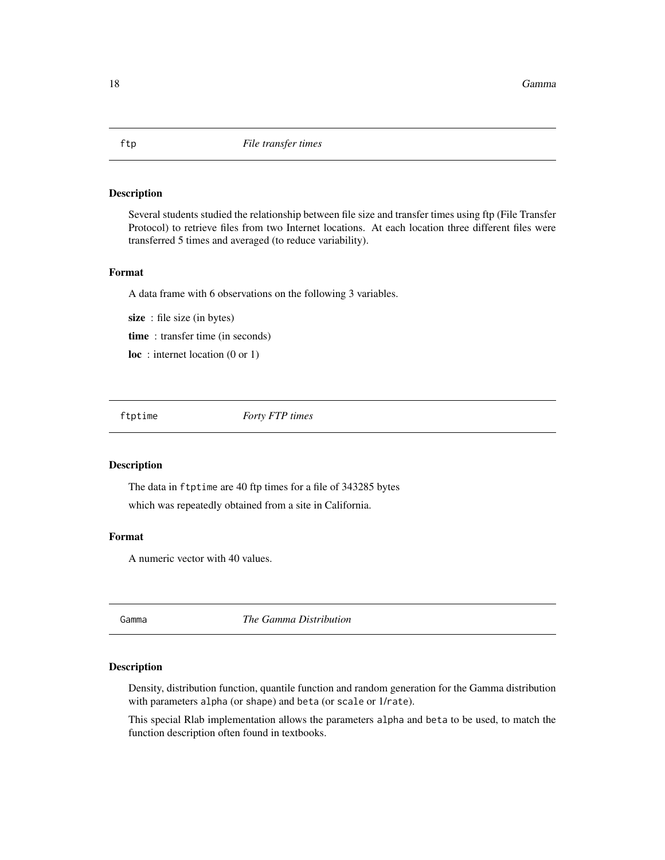Several students studied the relationship between file size and transfer times using ftp (File Transfer Protocol) to retrieve files from two Internet locations. At each location three different files were transferred 5 times and averaged (to reduce variability).

#### Format

A data frame with 6 observations on the following 3 variables.

size : file size (in bytes) time : transfer time (in seconds) loc: internet location (0 or 1)

ftptime *Forty FTP times*

# Description

The data in ftptime are 40 ftp times for a file of 343285 bytes which was repeatedly obtained from a site in California.

# Format

A numeric vector with 40 values.

Gamma *The Gamma Distribution*

#### <span id="page-17-1"></span>Description

Density, distribution function, quantile function and random generation for the Gamma distribution with parameters alpha (or shape) and beta (or scale or 1/rate).

This special Rlab implementation allows the parameters alpha and beta to be used, to match the function description often found in textbooks.

<span id="page-17-0"></span>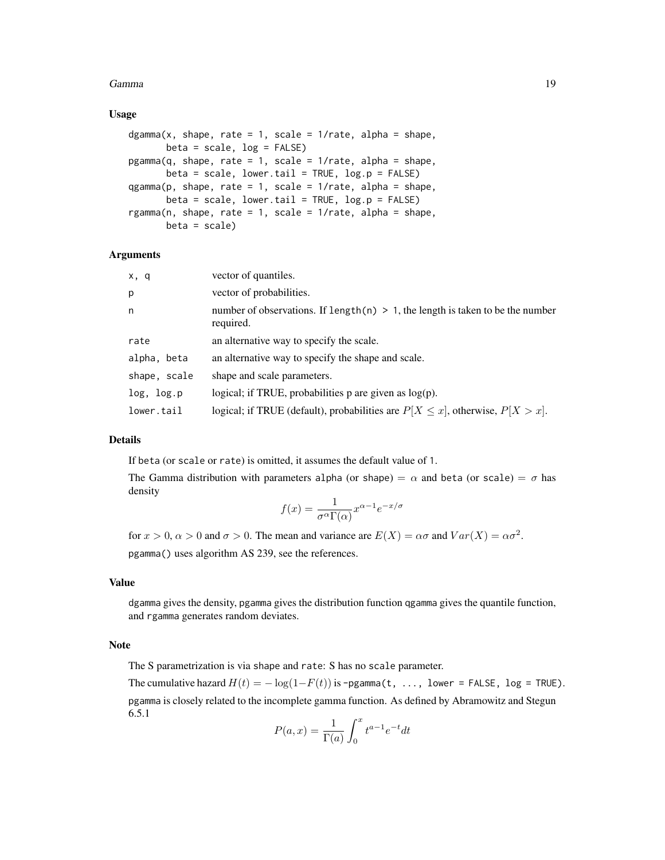#### Gamma **19**

#### Usage

```
dgamma(x, shape, rate = 1, scale = 1/rate, alpha = shape,beta = scale, log = FALSE)pgamma(q, shape, rate = 1, scale = 1/rate, alpha = shape,
      beta = scale, lower.tail = TRUE, log.p = FALSE)
qgamma(p, shape, rate = 1, scale = 1/rate, alpha = shape,beta = scale, lower.tail = TRUE, log.p = FALSE)
rgamma(n, shape, rate = 1, scale = 1/rate, alpha = shape,
      beta = scale)
```
## Arguments

| x, q         | vector of quantiles.                                                                           |
|--------------|------------------------------------------------------------------------------------------------|
| p            | vector of probabilities.                                                                       |
| n            | number of observations. If length(n) $> 1$ , the length is taken to be the number<br>required. |
| rate         | an alternative way to specify the scale.                                                       |
| alpha, beta  | an alternative way to specify the shape and scale.                                             |
| shape, scale | shape and scale parameters.                                                                    |
| log, log.p   | logical; if TRUE, probabilities $p$ are given as $log(p)$ .                                    |
| lower.tail   | logical; if TRUE (default), probabilities are $P[X \le x]$ , otherwise, $P[X > x]$ .           |

#### Details

If beta (or scale or rate) is omitted, it assumes the default value of 1.

The Gamma distribution with parameters alpha (or shape) =  $\alpha$  and beta (or scale) =  $\sigma$  has density

$$
f(x) = \frac{1}{\sigma^{\alpha} \Gamma(\alpha)} x^{\alpha - 1} e^{-x/\sigma}
$$

for  $x > 0$ ,  $\alpha > 0$  and  $\sigma > 0$ . The mean and variance are  $E(X) = \alpha \sigma$  and  $Var(X) = \alpha \sigma^2$ . pgamma() uses algorithm AS 239, see the references.

# Value

dgamma gives the density, pgamma gives the distribution function qgamma gives the quantile function, and rgamma generates random deviates.

# Note

The S parametrization is via shape and rate: S has no scale parameter.

The cumulative hazard  $H(t) = -\log(1-F(t))$  is -pgamma(t, ..., lower = FALSE, log = TRUE). pgamma is closely related to the incomplete gamma function. As defined by Abramowitz and Stegun 6.5.1

$$
P(a,x) = \frac{1}{\Gamma(a)} \int_0^x t^{a-1} e^{-t} dt
$$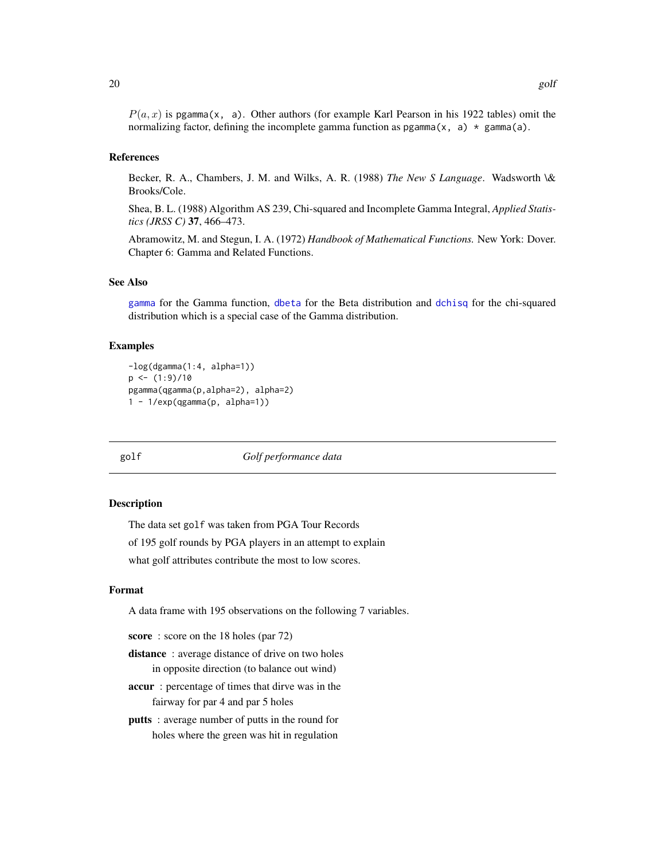<span id="page-19-0"></span> $P(a, x)$  is pgamma(x, a). Other authors (for example Karl Pearson in his 1922 tables) omit the normalizing factor, defining the incomplete gamma function as  $pgamma(x, a) * gamma(a)$ .

#### References

Becker, R. A., Chambers, J. M. and Wilks, A. R. (1988) *The New S Language*. Wadsworth \& Brooks/Cole.

Shea, B. L. (1988) Algorithm AS 239, Chi-squared and Incomplete Gamma Integral, *Applied Statistics (JRSS C)* 37, 466–473.

Abramowitz, M. and Stegun, I. A. (1972) *Handbook of Mathematical Functions.* New York: Dover. Chapter 6: Gamma and Related Functions.

# See Also

[gamma](#page-0-0) for the Gamma function, [dbeta](#page-0-0) for the Beta distribution and [dchisq](#page-0-0) for the chi-squared distribution which is a special case of the Gamma distribution.

#### Examples

```
-log(dgamma(1:4, alpha=1))
p \leftarrow (1:9)/10pgamma(qgamma(p,alpha=2), alpha=2)
1 - 1/exp(qgamma(p, alpha=1))
```
golf *Golf performance data*

#### **Description**

The data set golf was taken from PGA Tour Records

of 195 golf rounds by PGA players in an attempt to explain

what golf attributes contribute the most to low scores.

#### Format

A data frame with 195 observations on the following 7 variables.

score: score on the 18 holes (par 72)

distance: average distance of drive on two holes in opposite direction (to balance out wind)

accur : percentage of times that dirve was in the fairway for par 4 and par 5 holes

putts : average number of putts in the round for holes where the green was hit in regulation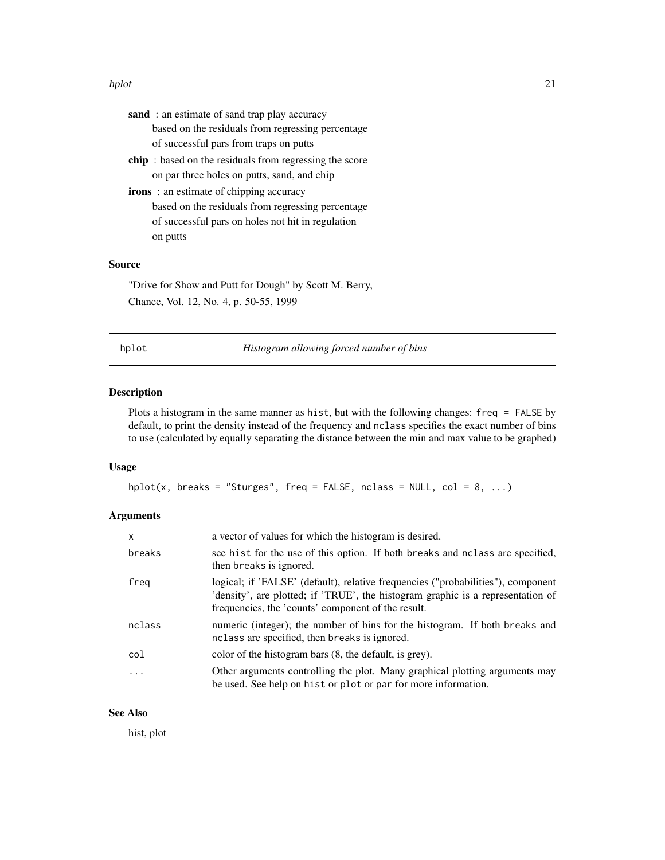#### <span id="page-20-0"></span>hplot 21

| <b>sand</b> : an estimate of sand trap play accuracy           |
|----------------------------------------------------------------|
| based on the residuals from regressing percentage              |
| of successful pars from traps on putts                         |
| <b>chip</b> : based on the residuals from regressing the score |
| on par three holes on putts, sand, and chip                    |
| <b>irons</b> : an estimate of chipping accuracy                |
| based on the residuals from regressing percentage              |
| of successful pars on holes not hit in regulation              |
| on putts                                                       |
|                                                                |

# Source

"Drive for Show and Putt for Dough" by Scott M. Berry, Chance, Vol. 12, No. 4, p. 50-55, 1999

hplot *Histogram allowing forced number of bins*

#### Description

Plots a histogram in the same manner as hist, but with the following changes: freq = FALSE by default, to print the density instead of the frequency and nclass specifies the exact number of bins to use (calculated by equally separating the distance between the min and max value to be graphed)

# Usage

```
hplot(x, breaks = "Sturges", freq = FALSE, nclass = NULL, col = 8, ...)
```
# Arguments

| X          | a vector of values for which the histogram is desired.                                                                                                                                                                    |
|------------|---------------------------------------------------------------------------------------------------------------------------------------------------------------------------------------------------------------------------|
| breaks     | see hist for the use of this option. If both breaks and nclass are specified,<br>then breaks is ignored.                                                                                                                  |
| freg       | logical; if 'FALSE' (default), relative frequencies ("probabilities"), component<br>'density', are plotted; if 'TRUE', the histogram graphic is a representation of<br>frequencies, the 'counts' component of the result. |
| nclass     | numeric (integer); the number of bins for the histogram. If both breaks and<br>nclass are specified, then breaks is ignored.                                                                                              |
| col        | color of the histogram bars (8, the default, is grey).                                                                                                                                                                    |
| $\ddots$ . | Other arguments controlling the plot. Many graphical plotting arguments may<br>be used. See help on hist or plot or par for more information.                                                                             |

# See Also

hist, plot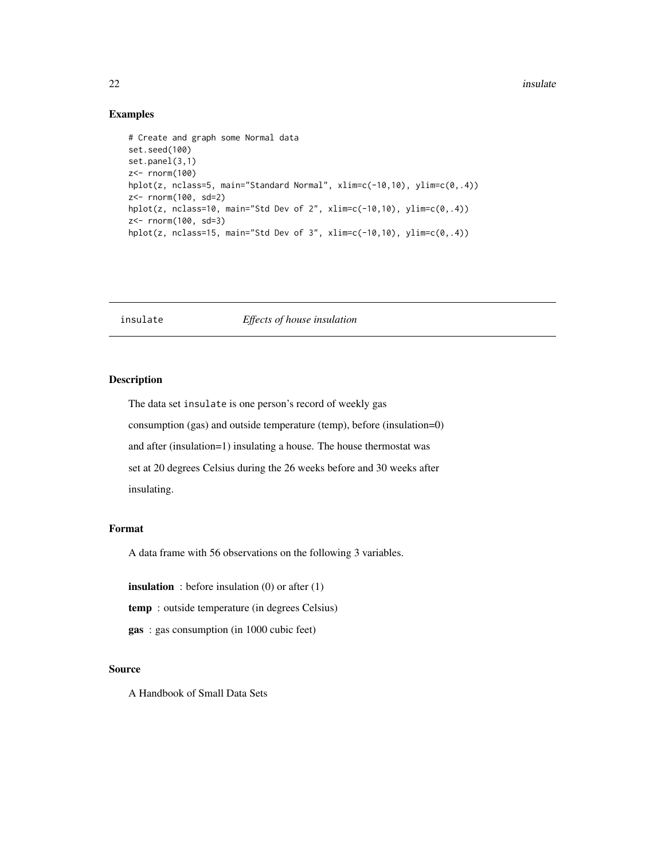#### <span id="page-21-0"></span> $22$  insulate

## Examples

```
# Create and graph some Normal data
set.seed(100)
set.panel(3,1)
z<- rnorm(100)
hplot(z, nclass=5, main="Standard Normal", xlim=c(-10,10), ylim=c(0,.4))
z<- rnorm(100, sd=2)
hplot(z, nclass=10, main="Std Dev of 2", xlim=c(-10,10), ylim=c(0,.4))
z<- rnorm(100, sd=3)
hplot(z, nclass=15, main="Std Dev of 3", xlim=c(-10,10), ylim=c(0,.4))
```
# insulate *Effects of house insulation*

#### Description

The data set insulate is one person's record of weekly gas consumption (gas) and outside temperature (temp), before (insulation=0) and after (insulation=1) insulating a house. The house thermostat was set at 20 degrees Celsius during the 26 weeks before and 30 weeks after insulating.

#### Format

A data frame with 56 observations on the following 3 variables.

**insulation** : before insulation  $(0)$  or after  $(1)$ 

temp : outside temperature (in degrees Celsius)

gas : gas consumption (in 1000 cubic feet)

# Source

A Handbook of Small Data Sets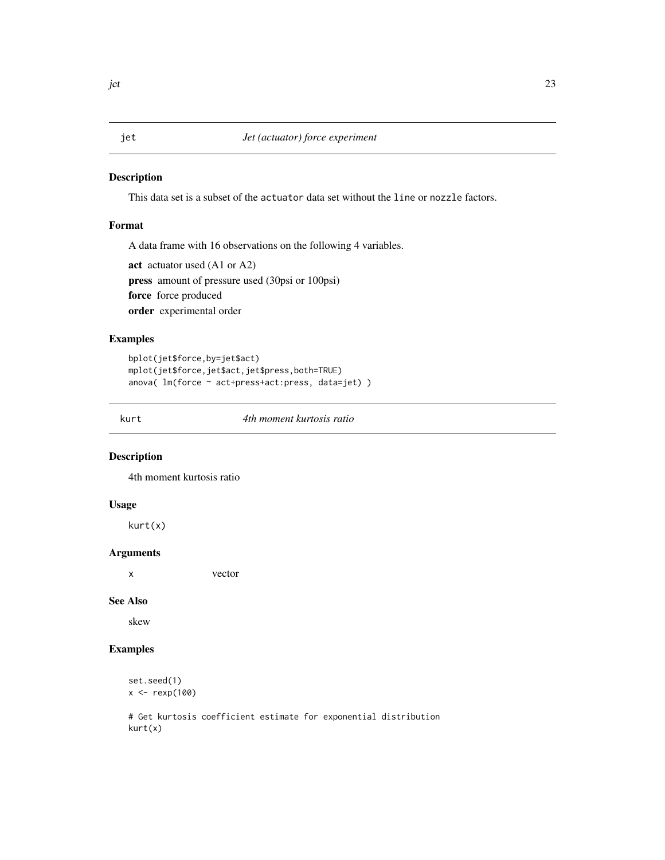This data set is a subset of the actuator data set without the line or nozzle factors.

# Format

A data frame with 16 observations on the following 4 variables.

```
act actuator used (A1 or A2)
press amount of pressure used (30psi or 100psi)
force force produced
order experimental order
```
#### Examples

```
bplot(jet$force,by=jet$act)
mplot(jet$force,jet$act,jet$press,both=TRUE)
anova( lm(force ~ act+press+act:press, data=jet) )
```
kurt *4th moment kurtosis ratio*

## Description

4th moment kurtosis ratio

#### Usage

kurt(x)

#### Arguments

x vector

# See Also

skew

# Examples

```
set.seed(1)
x <- rexp(100)
```
# Get kurtosis coefficient estimate for exponential distribution kurt(x)

<span id="page-22-0"></span>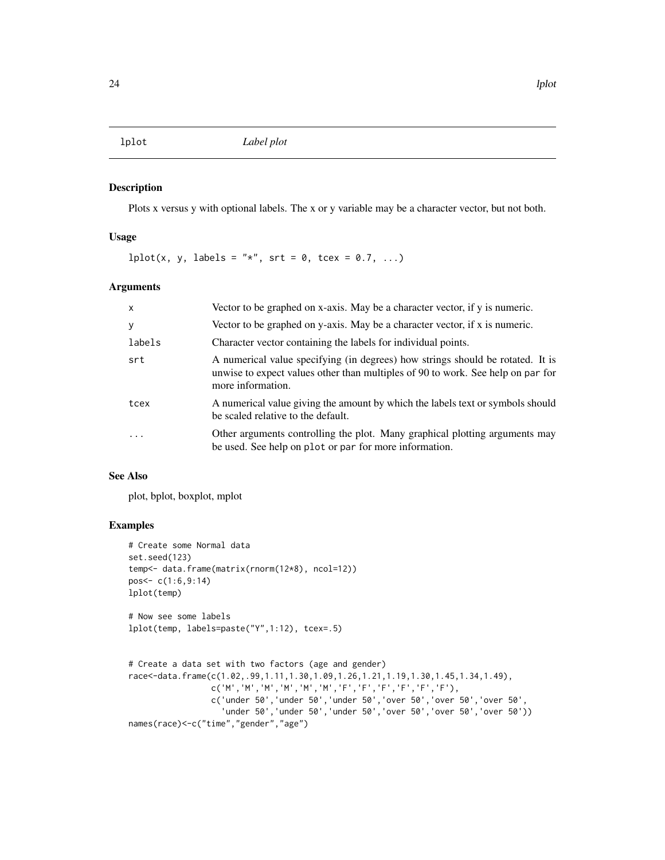<span id="page-23-0"></span>

Plots x versus y with optional labels. The x or y variable may be a character vector, but not both.

# Usage

 $lplot(x, y, labels = "*", srt = 0, tcex = 0.7, ...)$ 

# Arguments

| $\mathsf{x}$ | Vector to be graphed on x-axis. May be a character vector, if y is numeric.                                                                                                            |
|--------------|----------------------------------------------------------------------------------------------------------------------------------------------------------------------------------------|
| y            | Vector to be graphed on y-axis. May be a character vector, if x is numeric.                                                                                                            |
| labels       | Character vector containing the labels for individual points.                                                                                                                          |
| srt          | A numerical value specifying (in degrees) how strings should be rotated. It is<br>unwise to expect values other than multiples of 90 to work. See help on par for<br>more information. |
| tcex         | A numerical value giving the amount by which the labels text or symbols should<br>be scaled relative to the default.                                                                   |
| $\cdot$      | Other arguments controlling the plot. Many graphical plotting arguments may<br>be used. See help on plot or par for more information.                                                  |

#### See Also

plot, bplot, boxplot, mplot

```
# Create some Normal data
set.seed(123)
temp<- data.frame(matrix(rnorm(12*8), ncol=12))
pos<- c(1:6,9:14)
lplot(temp)
# Now see some labels
lplot(temp, labels=paste("Y",1:12), tcex=.5)
# Create a data set with two factors (age and gender)
race<-data.frame(c(1.02,.99,1.11,1.30,1.09,1.26,1.21,1.19,1.30,1.45,1.34,1.49),
                 c('M','M','M','M','M','M','F','F','F','F','F','F'),
                 c('under 50','under 50','under 50','over 50','over 50','over 50',
                   'under 50','under 50','under 50','over 50','over 50','over 50'))
```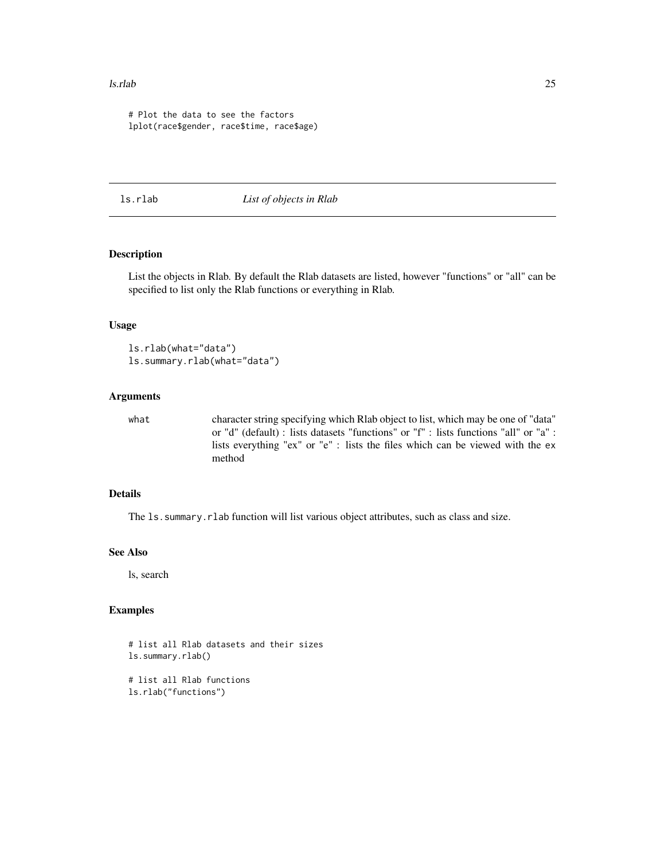#### <span id="page-24-0"></span>ls.rlab 25

```
# Plot the data to see the factors
lplot(race$gender, race$time, race$age)
```
ls.rlab *List of objects in Rlab*

# Description

List the objects in Rlab. By default the Rlab datasets are listed, however "functions" or "all" can be specified to list only the Rlab functions or everything in Rlab.

# Usage

ls.rlab(what="data") ls.summary.rlab(what="data")

# Arguments

what character string specifying which Rlab object to list, which may be one of "data" or "d" (default) : lists datasets "functions" or "f" : lists functions "all" or "a" : lists everything "ex" or "e" : lists the files which can be viewed with the ex method

#### Details

The ls.summary.rlab function will list various object attributes, such as class and size.

# See Also

ls, search

```
# list all Rlab datasets and their sizes
ls.summary.rlab()
# list all Rlab functions
ls.rlab("functions")
```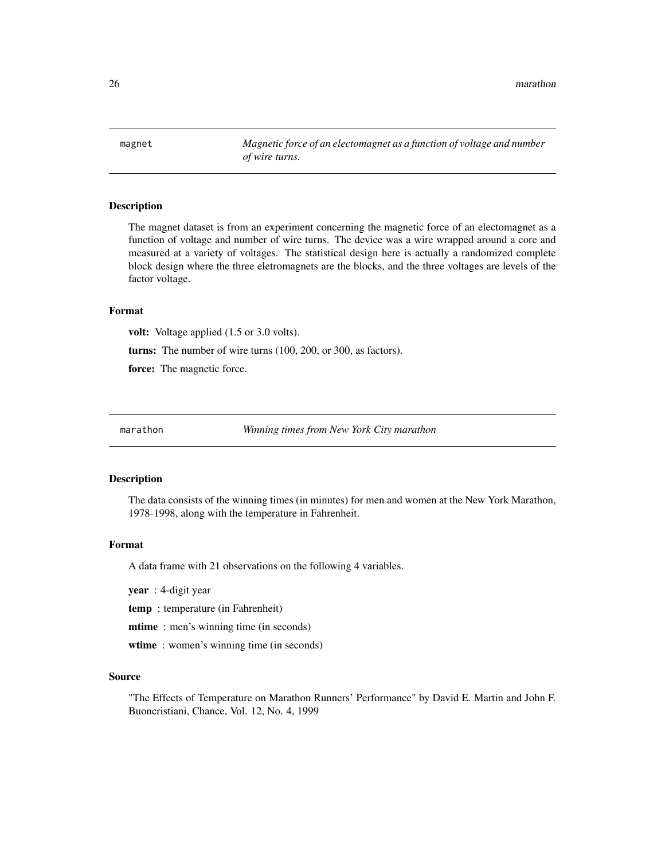<span id="page-25-0"></span>26 marathon was a strong with the contract of the contract of the contract of the contract of the contract of the contract of the contract of the contract of the contract of the contract of the contract of the contract of

magnet *Magnetic force of an electomagnet as a function of voltage and number of wire turns.*

### Description

The magnet dataset is from an experiment concerning the magnetic force of an electomagnet as a function of voltage and number of wire turns. The device was a wire wrapped around a core and measured at a variety of voltages. The statistical design here is actually a randomized complete block design where the three eletromagnets are the blocks, and the three voltages are levels of the factor voltage.

# Format

volt: Voltage applied (1.5 or 3.0 volts).

turns: The number of wire turns (100, 200, or 300, as factors).

force: The magnetic force.

marathon *Winning times from New York City marathon*

#### **Description**

The data consists of the winning times (in minutes) for men and women at the New York Marathon, 1978-1998, along with the temperature in Fahrenheit.

#### Format

A data frame with 21 observations on the following 4 variables.

year : 4-digit year

temp : temperature (in Fahrenheit)

mtime : men's winning time (in seconds)

wtime: women's winning time (in seconds)

#### Source

"The Effects of Temperature on Marathon Runners' Performance" by David E. Martin and John F. Buoncristiani, Chance, Vol. 12, No. 4, 1999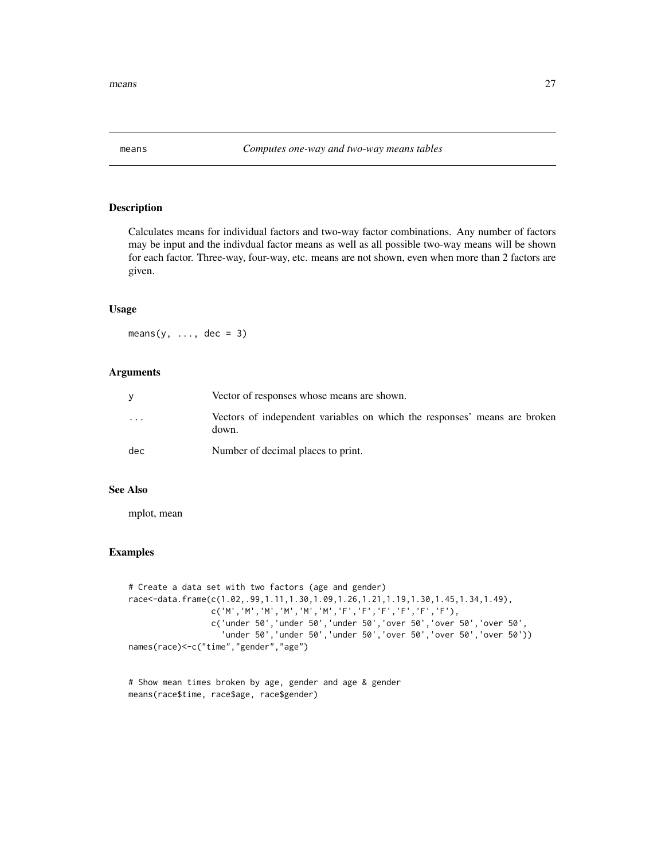<span id="page-26-0"></span>

Calculates means for individual factors and two-way factor combinations. Any number of factors may be input and the indivdual factor means as well as all possible two-way means will be shown for each factor. Three-way, four-way, etc. means are not shown, even when more than 2 factors are given.

#### Usage

means( $y, \ldots,$  dec = 3)

#### Arguments

|                         | Vector of responses whose means are shown.                                         |
|-------------------------|------------------------------------------------------------------------------------|
| $\cdot$ $\cdot$ $\cdot$ | Vectors of independent variables on which the responses' means are broken<br>down. |
| dec                     | Number of decimal places to print.                                                 |

# See Also

mplot, mean

```
# Create a data set with two factors (age and gender)
race<-data.frame(c(1.02,.99,1.11,1.30,1.09,1.26,1.21,1.19,1.30,1.45,1.34,1.49),
                 c('M','M','M','M','M','M','F','F','F','F','F','F'),
                 c('under 50','under 50','under 50','over 50','over 50','over 50',
                   'under 50','under 50','under 50','over 50','over 50','over 50'))
names(race)<-c("time","gender","age")
```

```
# Show mean times broken by age, gender and age & gender
means(race$time, race$age, race$gender)
```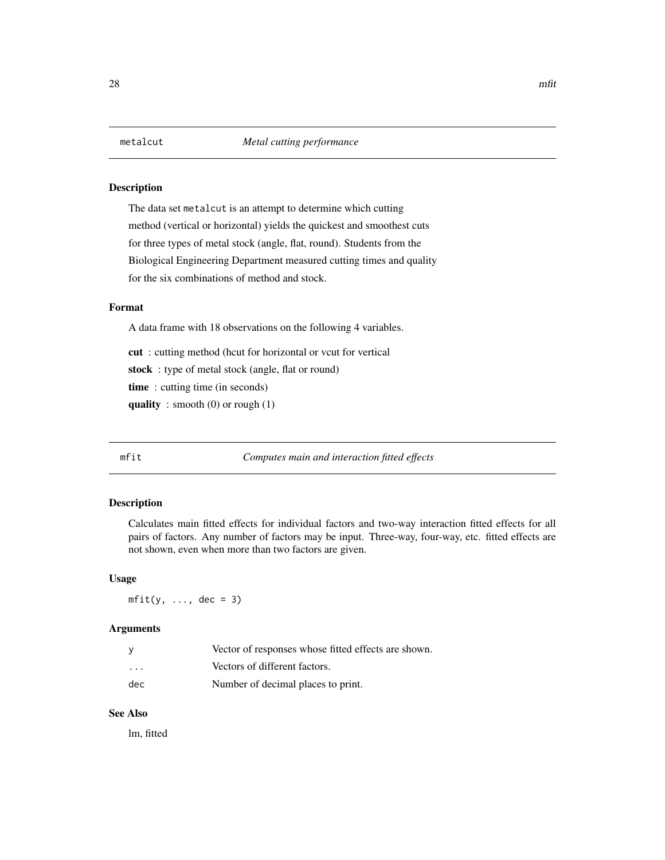<span id="page-27-0"></span>The data set metalcut is an attempt to determine which cutting method (vertical or horizontal) yields the quickest and smoothest cuts for three types of metal stock (angle, flat, round). Students from the Biological Engineering Department measured cutting times and quality for the six combinations of method and stock.

# Format

A data frame with 18 observations on the following 4 variables.

cut : cutting method (hcut for horizontal or vcut for vertical

stock : type of metal stock (angle, flat or round)

time : cutting time (in seconds)

quality : smooth  $(0)$  or rough  $(1)$ 

mfit *Computes main and interaction fitted effects*

# Description

Calculates main fitted effects for individual factors and two-way interaction fitted effects for all pairs of factors. Any number of factors may be input. Three-way, four-way, etc. fitted effects are not shown, even when more than two factors are given.

# Usage

 $mfit(y, ..., dec = 3)$ 

# Arguments

|         | Vector of responses whose fitted effects are shown. |
|---------|-----------------------------------------------------|
| $\cdot$ | Vectors of different factors.                       |
| dec     | Number of decimal places to print.                  |

#### See Also

lm, fitted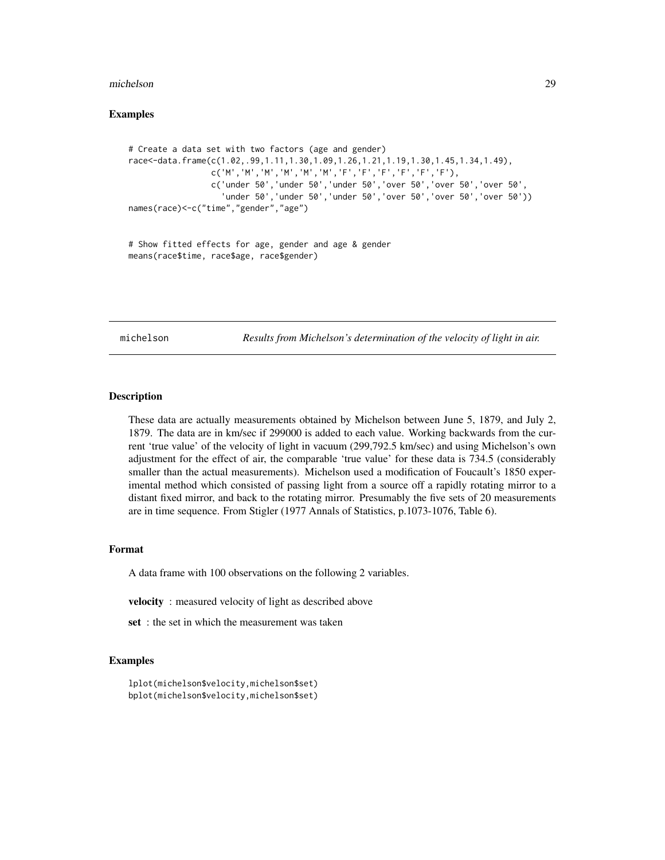#### <span id="page-28-0"></span>michelson 29

#### Examples

```
# Create a data set with two factors (age and gender)
race<-data.frame(c(1.02,.99,1.11,1.30,1.09,1.26,1.21,1.19,1.30,1.45,1.34,1.49),
                c('M','M','M','M','M','M','F','F','F','F','F','F'),
                c('under 50','under 50','under 50','over 50','over 50','over 50',
                   'under 50','under 50','under 50','over 50','over 50','over 50'))
names(race)<-c("time","gender","age")
```

```
# Show fitted effects for age, gender and age & gender
means(race$time, race$age, race$gender)
```
michelson *Results from Michelson's determination of the velocity of light in air.*

#### **Description**

These data are actually measurements obtained by Michelson between June 5, 1879, and July 2, 1879. The data are in km/sec if 299000 is added to each value. Working backwards from the current 'true value' of the velocity of light in vacuum (299,792.5 km/sec) and using Michelson's own adjustment for the effect of air, the comparable 'true value' for these data is 734.5 (considerably smaller than the actual measurements). Michelson used a modification of Foucault's 1850 experimental method which consisted of passing light from a source off a rapidly rotating mirror to a distant fixed mirror, and back to the rotating mirror. Presumably the five sets of 20 measurements are in time sequence. From Stigler (1977 Annals of Statistics, p.1073-1076, Table 6).

#### Format

A data frame with 100 observations on the following 2 variables.

velocity : measured velocity of light as described above

set : the set in which the measurement was taken

```
lplot(michelson$velocity,michelson$set)
bplot(michelson$velocity,michelson$set)
```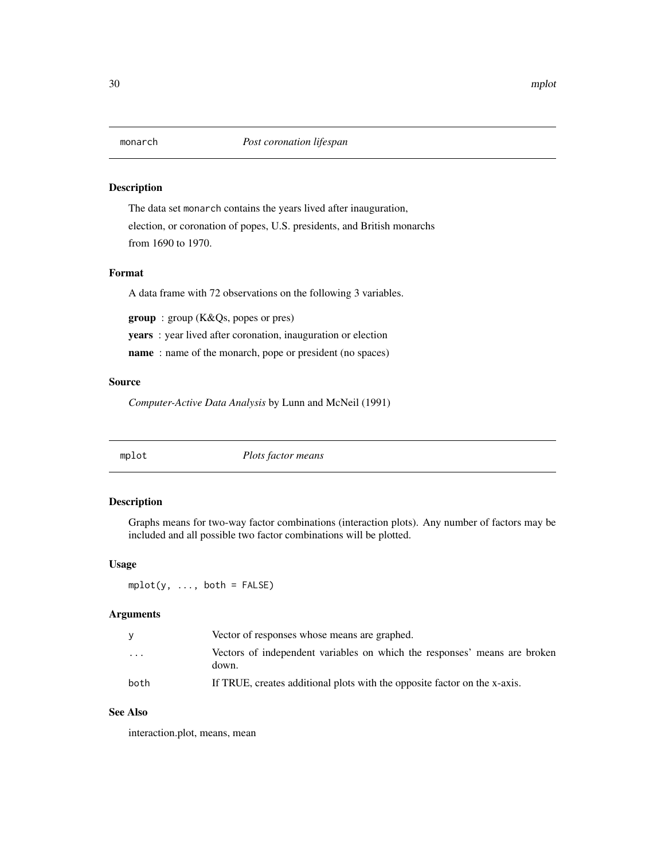<span id="page-29-0"></span>The data set monarch contains the years lived after inauguration, election, or coronation of popes, U.S. presidents, and British monarchs from 1690 to 1970.

#### Format

A data frame with 72 observations on the following 3 variables.

group : group (K&Qs, popes or pres)

years : year lived after coronation, inauguration or election

name : name of the monarch, pope or president (no spaces)

# Source

*Computer-Active Data Analysis* by Lunn and McNeil (1991)

mplot *Plots factor means*

# Description

Graphs means for two-way factor combinations (interaction plots). Any number of factors may be included and all possible two factor combinations will be plotted.

#### Usage

 $mplot(y, ..., both = FALSE)$ 

# Arguments

|         | Vector of responses whose means are graphed.                                       |
|---------|------------------------------------------------------------------------------------|
| $\cdot$ | Vectors of independent variables on which the responses' means are broken<br>down. |
| both    | If TRUE, creates additional plots with the opposite factor on the x-axis.          |

# See Also

interaction.plot, means, mean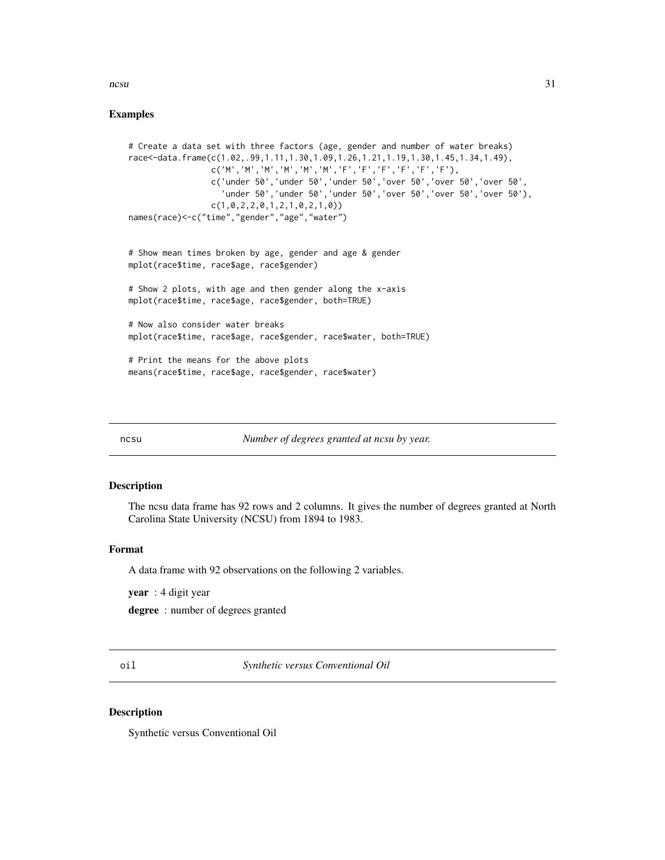#### <span id="page-30-0"></span> $\frac{1}{31}$

# Examples

```
# Create a data set with three factors (age, gender and number of water breaks)
race<-data.frame(c(1.02,.99,1.11,1.30,1.09,1.26,1.21,1.19,1.30,1.45,1.34,1.49),
                 c('M','M','M','M','M','M','F','F','F','F','F','F'),
                 c('under 50','under 50','under 50','over 50','over 50','over 50',
                   'under 50','under 50','under 50','over 50','over 50','over 50'),
                 c(1,0,2,2,0,1,2,1,0,2,1,0))
names(race)<-c("time","gender","age","water")
# Show mean times broken by age, gender and age & gender
mplot(race$time, race$age, race$gender)
# Show 2 plots, with age and then gender along the x-axis
mplot(race$time, race$age, race$gender, both=TRUE)
# Now also consider water breaks
mplot(race$time, race$age, race$gender, race$water, both=TRUE)
# Print the means for the above plots
means(race$time, race$age, race$gender, race$water)
```
ncsu *Number of degrees granted at ncsu by year.*

#### Description

The ncsu data frame has 92 rows and 2 columns. It gives the number of degrees granted at North Carolina State University (NCSU) from 1894 to 1983.

# Format

A data frame with 92 observations on the following 2 variables.

year : 4 digit year

degree : number of degrees granted

oil *Synthetic versus Conventional Oil*

#### **Description**

Synthetic versus Conventional Oil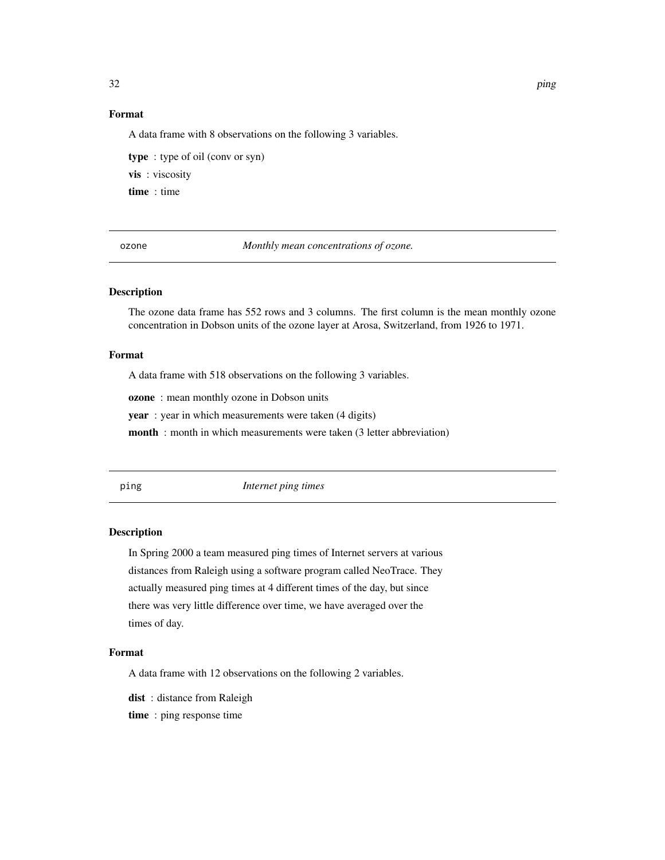# <span id="page-31-0"></span>Format

A data frame with 8 observations on the following 3 variables.

type : type of oil (conv or syn) vis : viscosity time : time

ozone *Monthly mean concentrations of ozone.*

# Description

The ozone data frame has 552 rows and 3 columns. The first column is the mean monthly ozone concentration in Dobson units of the ozone layer at Arosa, Switzerland, from 1926 to 1971.

#### Format

A data frame with 518 observations on the following 3 variables.

ozone : mean monthly ozone in Dobson units

year : year in which measurements were taken (4 digits)

month : month in which measurements were taken (3 letter abbreviation)

ping *Internet ping times*

#### Description

In Spring 2000 a team measured ping times of Internet servers at various distances from Raleigh using a software program called NeoTrace. They actually measured ping times at 4 different times of the day, but since there was very little difference over time, we have averaged over the times of day.

#### Format

A data frame with 12 observations on the following 2 variables.

dist: distance from Raleigh

time : ping response time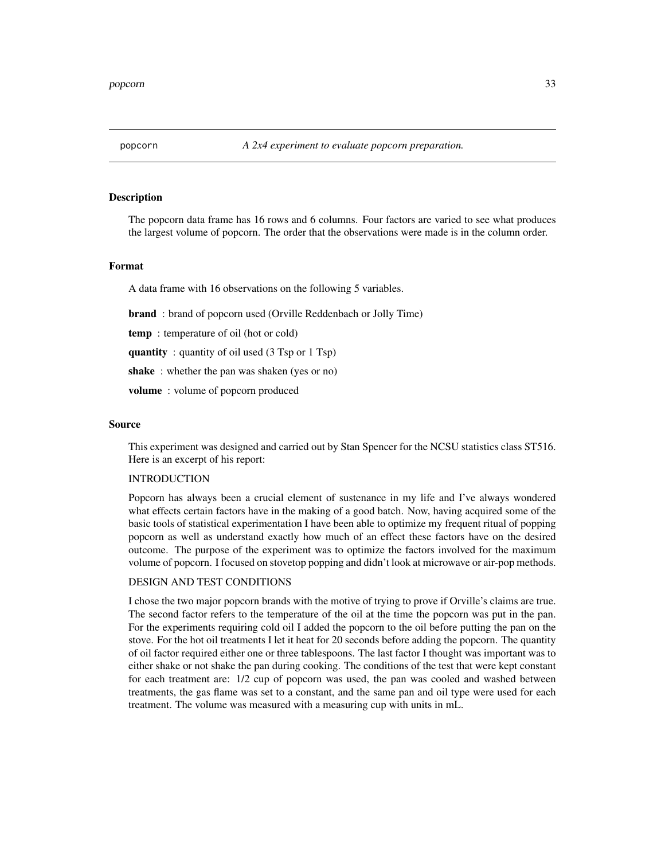<span id="page-32-0"></span>

The popcorn data frame has 16 rows and 6 columns. Four factors are varied to see what produces the largest volume of popcorn. The order that the observations were made is in the column order.

#### Format

A data frame with 16 observations on the following 5 variables.

**brand**: brand of popcorn used (Orville Reddenbach or Jolly Time)

temp : temperature of oil (hot or cold)

quantity : quantity of oil used (3 Tsp or 1 Tsp)

shake: whether the pan was shaken (yes or no)

volume : volume of popcorn produced

#### Source

This experiment was designed and carried out by Stan Spencer for the NCSU statistics class ST516. Here is an excerpt of his report:

#### INTRODUCTION

Popcorn has always been a crucial element of sustenance in my life and I've always wondered what effects certain factors have in the making of a good batch. Now, having acquired some of the basic tools of statistical experimentation I have been able to optimize my frequent ritual of popping popcorn as well as understand exactly how much of an effect these factors have on the desired outcome. The purpose of the experiment was to optimize the factors involved for the maximum volume of popcorn. I focused on stovetop popping and didn't look at microwave or air-pop methods.

#### DESIGN AND TEST CONDITIONS

I chose the two major popcorn brands with the motive of trying to prove if Orville's claims are true. The second factor refers to the temperature of the oil at the time the popcorn was put in the pan. For the experiments requiring cold oil I added the popcorn to the oil before putting the pan on the stove. For the hot oil treatments I let it heat for 20 seconds before adding the popcorn. The quantity of oil factor required either one or three tablespoons. The last factor I thought was important was to either shake or not shake the pan during cooking. The conditions of the test that were kept constant for each treatment are: 1/2 cup of popcorn was used, the pan was cooled and washed between treatments, the gas flame was set to a constant, and the same pan and oil type were used for each treatment. The volume was measured with a measuring cup with units in mL.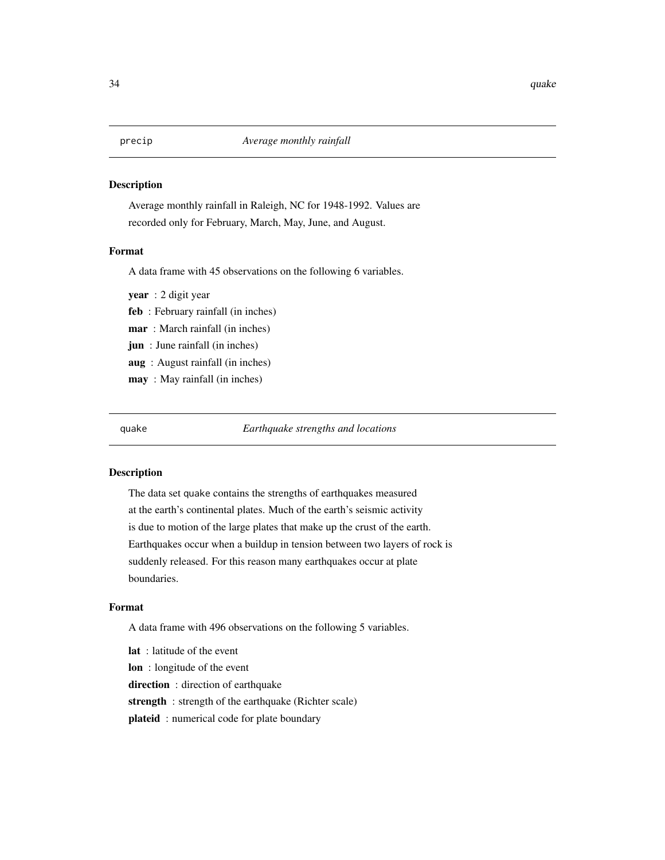<span id="page-33-0"></span>Average monthly rainfall in Raleigh, NC for 1948-1992. Values are recorded only for February, March, May, June, and August.

#### Format

A data frame with 45 observations on the following 6 variables.

year : 2 digit year feb : February rainfall (in inches) mar : March rainfall (in inches) jun : June rainfall (in inches) aug : August rainfall (in inches) may : May rainfall (in inches)

quake *Earthquake strengths and locations*

#### Description

The data set quake contains the strengths of earthquakes measured at the earth's continental plates. Much of the earth's seismic activity is due to motion of the large plates that make up the crust of the earth. Earthquakes occur when a buildup in tension between two layers of rock is suddenly released. For this reason many earthquakes occur at plate boundaries.

#### Format

A data frame with 496 observations on the following 5 variables.

lat : latitude of the event lon : longitude of the event direction: direction of earthquake strength : strength of the earthquake (Richter scale) plateid: numerical code for plate boundary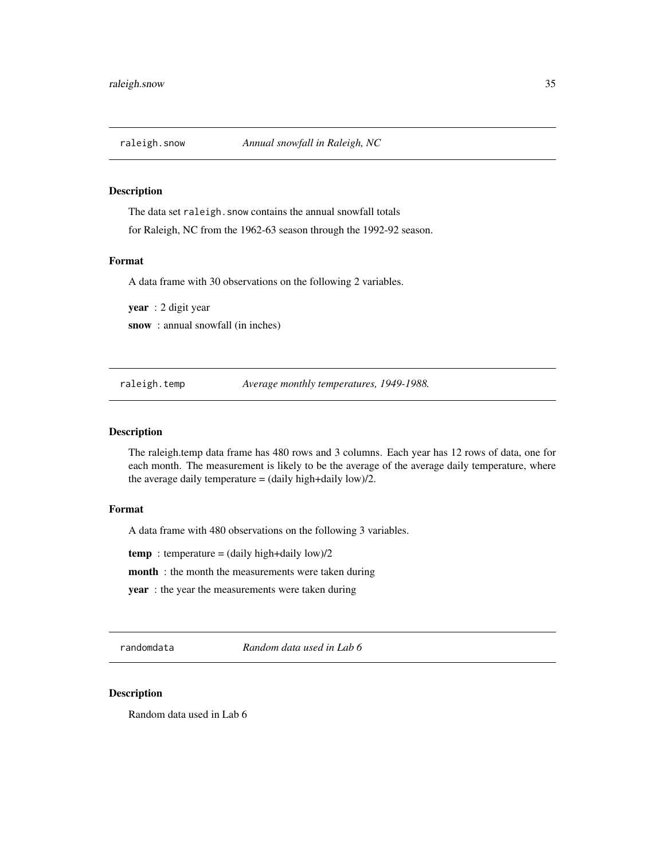<span id="page-34-0"></span>

The data set raleigh. snow contains the annual snowfall totals for Raleigh, NC from the 1962-63 season through the 1992-92 season.

#### Format

A data frame with 30 observations on the following 2 variables.

year : 2 digit year snow : annual snowfall (in inches)

raleigh.temp *Average monthly temperatures, 1949-1988.*

#### Description

The raleigh.temp data frame has 480 rows and 3 columns. Each year has 12 rows of data, one for each month. The measurement is likely to be the average of the average daily temperature, where the average daily temperature  $=$  (daily high+daily low)/2.

#### Format

A data frame with 480 observations on the following 3 variables.

temp : temperature =  $(daily high+daily low)/2$ 

month : the month the measurements were taken during

year : the year the measurements were taken during

randomdata *Random data used in Lab 6*

# Description

Random data used in Lab 6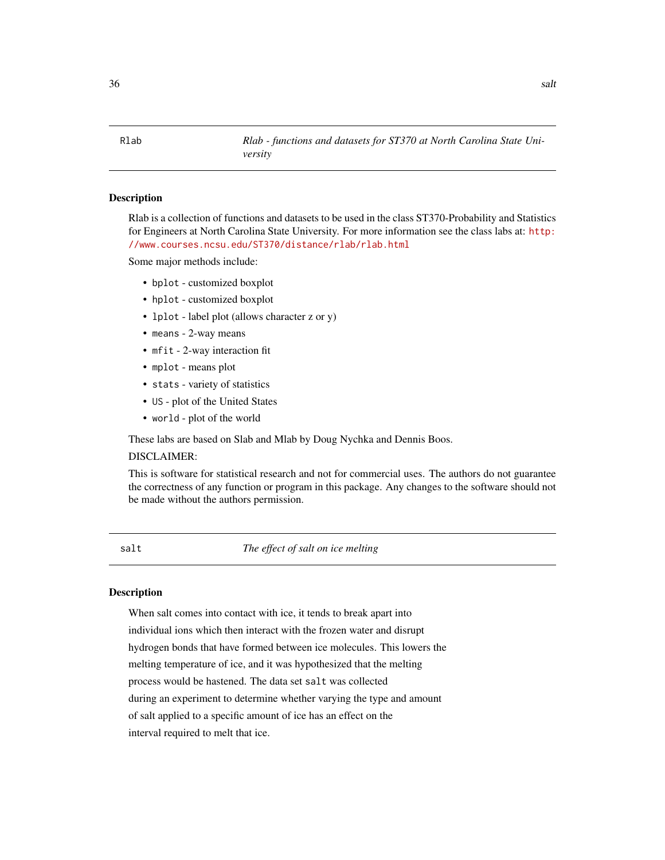<span id="page-35-0"></span>Rlab *Rlab - functions and datasets for ST370 at North Carolina State University*

# Description

Rlab is a collection of functions and datasets to be used in the class ST370-Probability and Statistics for Engineers at North Carolina State University. For more information see the class labs at: [http:](http://www.courses.ncsu.edu/ST370/distance/rlab/rlab.html) [//www.courses.ncsu.edu/ST370/distance/rlab/rlab.html](http://www.courses.ncsu.edu/ST370/distance/rlab/rlab.html)

Some major methods include:

- bplot customized boxplot
- hplot customized boxplot
- lplot label plot (allows character z or y)
- means 2-way means
- mfit 2-way interaction fit
- mplot means plot
- stats variety of statistics
- US plot of the United States
- world plot of the world

These labs are based on Slab and Mlab by Doug Nychka and Dennis Boos.

## DISCLAIMER:

This is software for statistical research and not for commercial uses. The authors do not guarantee the correctness of any function or program in this package. Any changes to the software should not be made without the authors permission.

salt *The effect of salt on ice melting*

#### **Description**

When salt comes into contact with ice, it tends to break apart into individual ions which then interact with the frozen water and disrupt hydrogen bonds that have formed between ice molecules. This lowers the melting temperature of ice, and it was hypothesized that the melting process would be hastened. The data set salt was collected during an experiment to determine whether varying the type and amount of salt applied to a specific amount of ice has an effect on the interval required to melt that ice.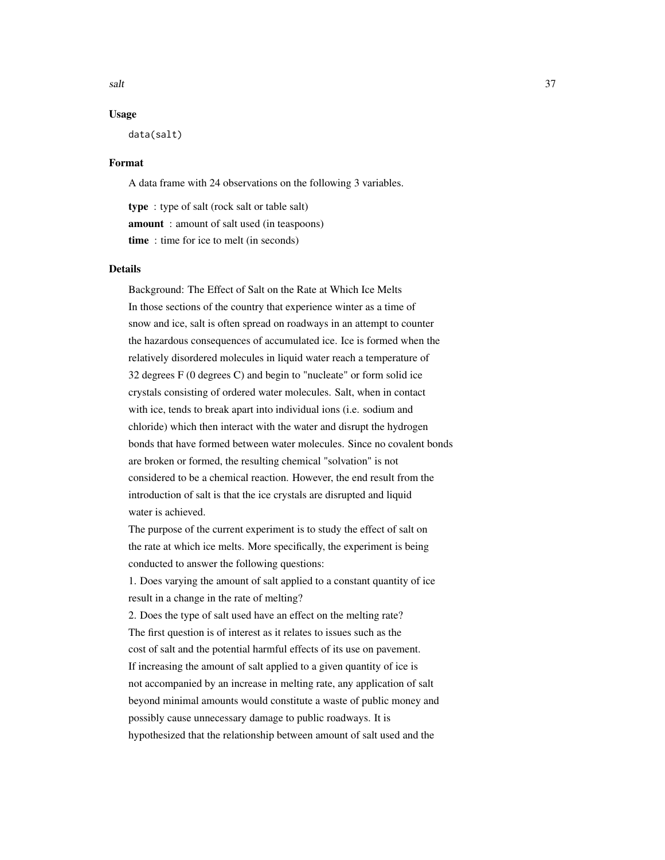$s$ alt  $37$ 

## Usage

data(salt)

#### Format

A data frame with 24 observations on the following 3 variables.

type : type of salt (rock salt or table salt) amount : amount of salt used (in teaspoons) time : time for ice to melt (in seconds)

#### Details

Background: The Effect of Salt on the Rate at Which Ice Melts In those sections of the country that experience winter as a time of snow and ice, salt is often spread on roadways in an attempt to counter the hazardous consequences of accumulated ice. Ice is formed when the relatively disordered molecules in liquid water reach a temperature of 32 degrees F (0 degrees C) and begin to "nucleate" or form solid ice crystals consisting of ordered water molecules. Salt, when in contact with ice, tends to break apart into individual ions (i.e. sodium and chloride) which then interact with the water and disrupt the hydrogen bonds that have formed between water molecules. Since no covalent bonds are broken or formed, the resulting chemical "solvation" is not considered to be a chemical reaction. However, the end result from the introduction of salt is that the ice crystals are disrupted and liquid water is achieved.

The purpose of the current experiment is to study the effect of salt on the rate at which ice melts. More specifically, the experiment is being conducted to answer the following questions:

1. Does varying the amount of salt applied to a constant quantity of ice result in a change in the rate of melting?

2. Does the type of salt used have an effect on the melting rate? The first question is of interest as it relates to issues such as the cost of salt and the potential harmful effects of its use on pavement. If increasing the amount of salt applied to a given quantity of ice is not accompanied by an increase in melting rate, any application of salt beyond minimal amounts would constitute a waste of public money and possibly cause unnecessary damage to public roadways. It is hypothesized that the relationship between amount of salt used and the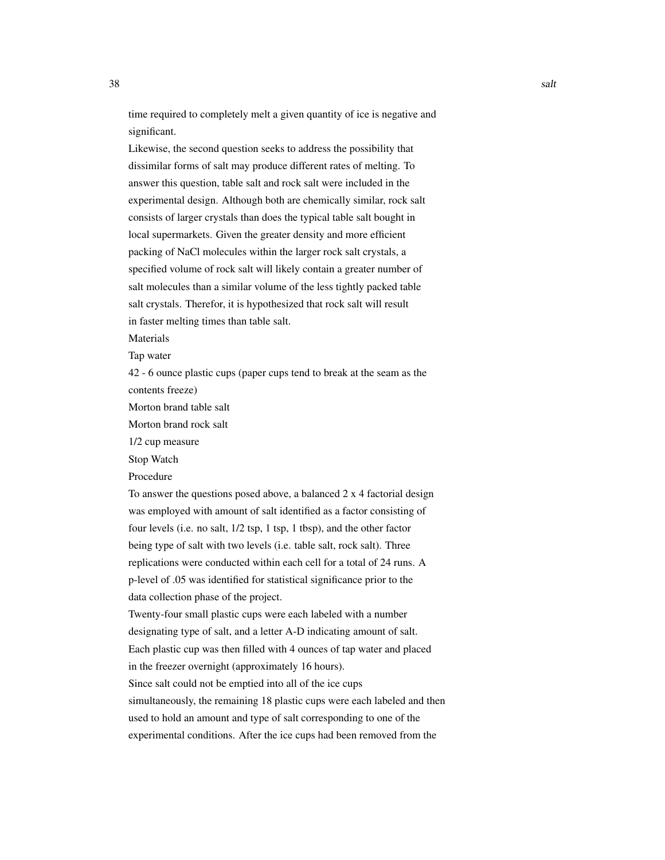time required to completely melt a given quantity of ice is negative and significant.

Likewise, the second question seeks to address the possibility that dissimilar forms of salt may produce different rates of melting. To answer this question, table salt and rock salt were included in the experimental design. Although both are chemically similar, rock salt consists of larger crystals than does the typical table salt bought in local supermarkets. Given the greater density and more efficient packing of NaCl molecules within the larger rock salt crystals, a specified volume of rock salt will likely contain a greater number of salt molecules than a similar volume of the less tightly packed table salt crystals. Therefor, it is hypothesized that rock salt will result in faster melting times than table salt.

Materials

Tap water

42 - 6 ounce plastic cups (paper cups tend to break at the seam as the contents freeze)

Morton brand table salt

Morton brand rock salt

1/2 cup measure

Stop Watch

Procedure

To answer the questions posed above, a balanced 2 x 4 factorial design was employed with amount of salt identified as a factor consisting of four levels (i.e. no salt, 1/2 tsp, 1 tsp, 1 tbsp), and the other factor being type of salt with two levels (i.e. table salt, rock salt). Three replications were conducted within each cell for a total of 24 runs. A p-level of .05 was identified for statistical significance prior to the data collection phase of the project.

Twenty-four small plastic cups were each labeled with a number designating type of salt, and a letter A-D indicating amount of salt. Each plastic cup was then filled with 4 ounces of tap water and placed in the freezer overnight (approximately 16 hours).

Since salt could not be emptied into all of the ice cups

simultaneously, the remaining 18 plastic cups were each labeled and then used to hold an amount and type of salt corresponding to one of the experimental conditions. After the ice cups had been removed from the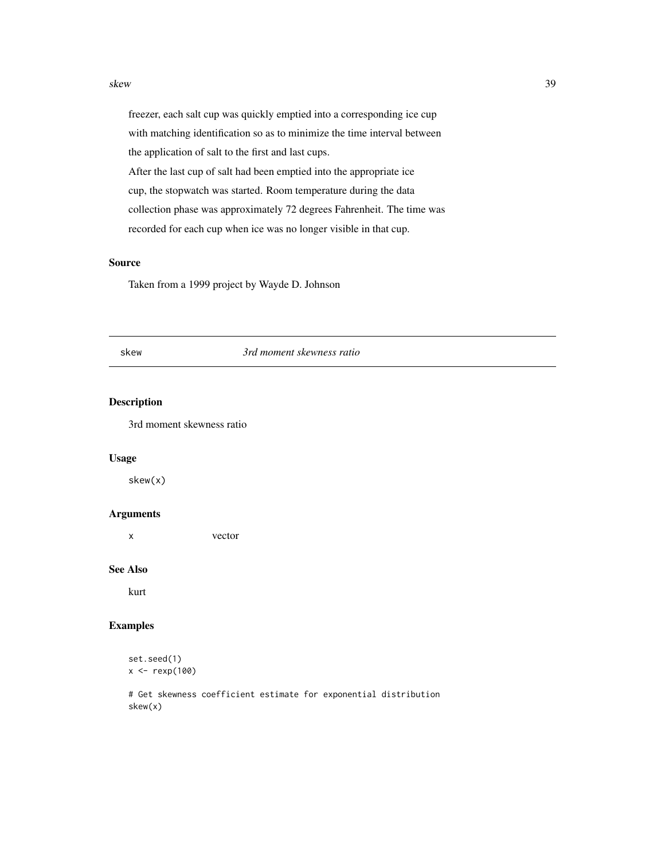#### <span id="page-38-0"></span>skew 39

freezer, each salt cup was quickly emptied into a corresponding ice cup with matching identification so as to minimize the time interval between the application of salt to the first and last cups. After the last cup of salt had been emptied into the appropriate ice cup, the stopwatch was started. Room temperature during the data collection phase was approximately 72 degrees Fahrenheit. The time was recorded for each cup when ice was no longer visible in that cup.

# Source

Taken from a 1999 project by Wayde D. Johnson

#### skew *3rd moment skewness ratio*

# Description

3rd moment skewness ratio

#### Usage

skew(x)

# Arguments

x vector

#### See Also

kurt

#### Examples

```
set.seed(1)
x \leftarrow \text{rexp}(100)
```
# Get skewness coefficient estimate for exponential distribution skew(x)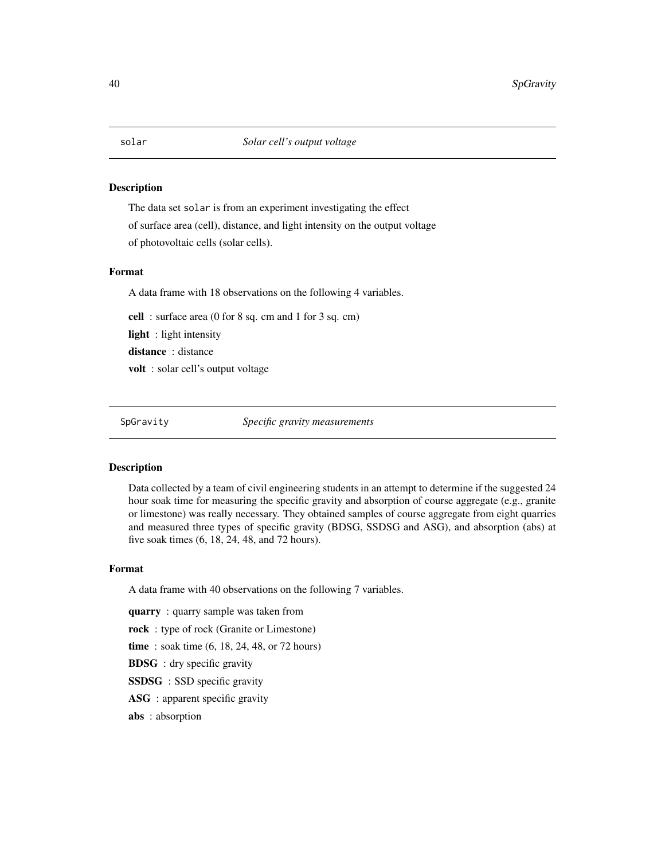The data set solar is from an experiment investigating the effect of surface area (cell), distance, and light intensity on the output voltage of photovoltaic cells (solar cells).

#### Format

A data frame with 18 observations on the following 4 variables.

cell : surface area (0 for 8 sq. cm and 1 for 3 sq. cm)

light : light intensity

distance : distance

volt : solar cell's output voltage

SpGravity *Specific gravity measurements*

#### Description

Data collected by a team of civil engineering students in an attempt to determine if the suggested 24 hour soak time for measuring the specific gravity and absorption of course aggregate (e.g., granite or limestone) was really necessary. They obtained samples of course aggregate from eight quarries and measured three types of specific gravity (BDSG, SSDSG and ASG), and absorption (abs) at five soak times (6, 18, 24, 48, and 72 hours).

# Format

A data frame with 40 observations on the following 7 variables.

quarry : quarry sample was taken from

rock : type of rock (Granite or Limestone)

time : soak time (6, 18, 24, 48, or 72 hours)

BDSG : dry specific gravity

SSDSG : SSD specific gravity

ASG: apparent specific gravity

abs : absorption

<span id="page-39-0"></span>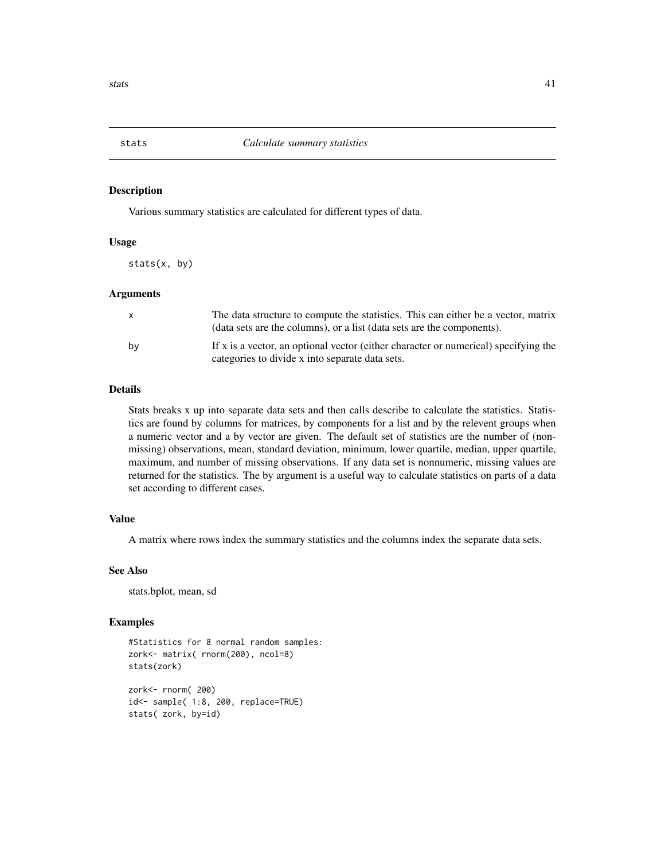<span id="page-40-0"></span>

Various summary statistics are calculated for different types of data.

#### Usage

stats(x, by)

#### Arguments

| $\mathsf{X}$ | The data structure to compute the statistics. This can either be a vector, matrix<br>(data sets are the columns), or a list (data sets are the components). |
|--------------|-------------------------------------------------------------------------------------------------------------------------------------------------------------|
| by           | If x is a vector, an optional vector (either character or numerical) specifying the<br>categories to divide x into separate data sets.                      |

#### Details

Stats breaks x up into separate data sets and then calls describe to calculate the statistics. Statistics are found by columns for matrices, by components for a list and by the relevent groups when a numeric vector and a by vector are given. The default set of statistics are the number of (nonmissing) observations, mean, standard deviation, minimum, lower quartile, median, upper quartile, maximum, and number of missing observations. If any data set is nonnumeric, missing values are returned for the statistics. The by argument is a useful way to calculate statistics on parts of a data set according to different cases.

# Value

A matrix where rows index the summary statistics and the columns index the separate data sets.

#### See Also

stats.bplot, mean, sd

#### Examples

```
#Statistics for 8 normal random samples:
zork<- matrix( rnorm(200), ncol=8)
stats(zork)
```
zork<- rnorm( 200) id<- sample( 1:8, 200, replace=TRUE) stats( zork, by=id)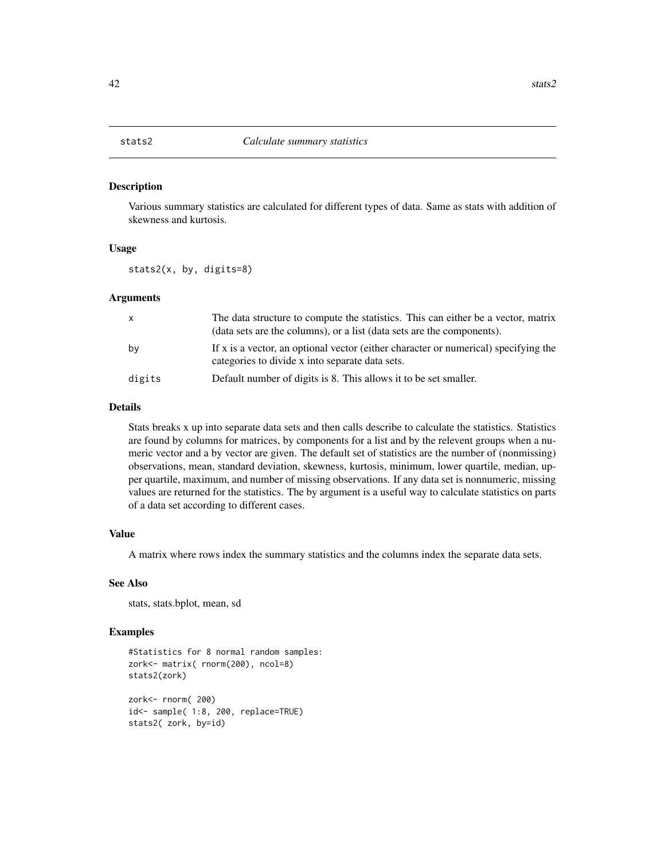<span id="page-41-0"></span>Various summary statistics are calculated for different types of data. Same as stats with addition of skewness and kurtosis.

#### Usage

stats2(x, by, digits=8)

#### Arguments

| $\mathsf{x}$ | The data structure to compute the statistics. This can either be a vector, matrix<br>(data sets are the columns), or a list (data sets are the components). |
|--------------|-------------------------------------------------------------------------------------------------------------------------------------------------------------|
| by           | If x is a vector, an optional vector (either character or numerical) specifying the<br>categories to divide x into separate data sets.                      |
| digits       | Default number of digits is 8. This allows it to be set smaller.                                                                                            |

#### Details

Stats breaks x up into separate data sets and then calls describe to calculate the statistics. Statistics are found by columns for matrices, by components for a list and by the relevent groups when a numeric vector and a by vector are given. The default set of statistics are the number of (nonmissing) observations, mean, standard deviation, skewness, kurtosis, minimum, lower quartile, median, upper quartile, maximum, and number of missing observations. If any data set is nonnumeric, missing values are returned for the statistics. The by argument is a useful way to calculate statistics on parts of a data set according to different cases.

# Value

A matrix where rows index the summary statistics and the columns index the separate data sets.

#### See Also

stats, stats.bplot, mean, sd

```
#Statistics for 8 normal random samples:
zork<- matrix( rnorm(200), ncol=8)
stats2(zork)
zork<- rnorm( 200)
id<- sample( 1:8, 200, replace=TRUE)
stats2( zork, by=id)
```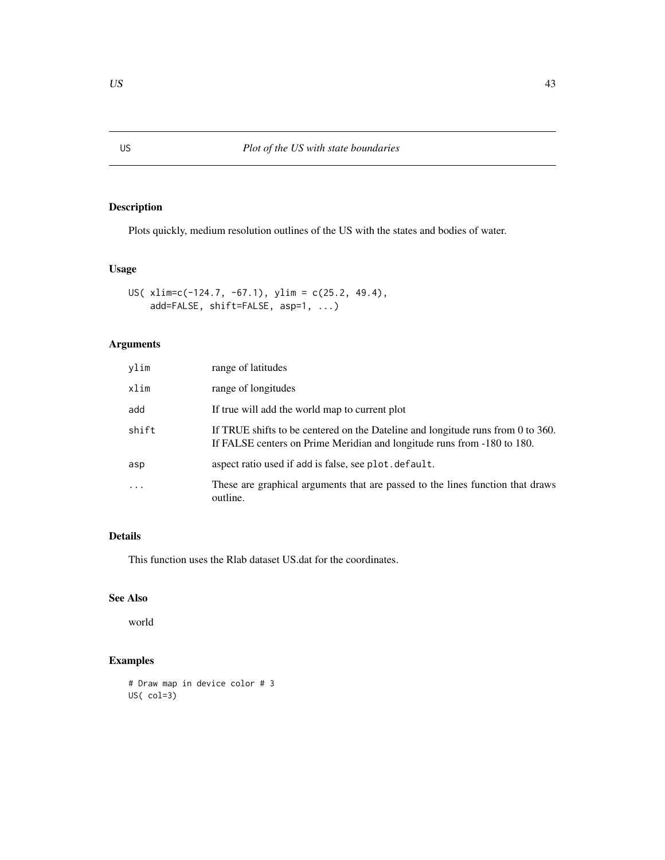Plots quickly, medium resolution outlines of the US with the states and bodies of water.

# Usage

```
US( xlim=c(-124.7, -67.1), ylim = c(25.2, 49.4),
    add=FALSE, shift=FALSE, asp=1, ...)
```
# Arguments

| ylim                    | range of latitudes                                                                                                                                         |
|-------------------------|------------------------------------------------------------------------------------------------------------------------------------------------------------|
| xlim                    | range of longitudes                                                                                                                                        |
| add                     | If true will add the world map to current plot                                                                                                             |
| shift                   | If TRUE shifts to be centered on the Dateline and longitude runs from 0 to 360.<br>If FALSE centers on Prime Meridian and longitude runs from -180 to 180. |
| asp                     | aspect ratio used if add is false, see plot. default.                                                                                                      |
| $\cdot$ $\cdot$ $\cdot$ | These are graphical arguments that are passed to the lines function that draws<br>outline.                                                                 |

# Details

This function uses the Rlab dataset US.dat for the coordinates.

# See Also

world

```
# Draw map in device color # 3
US( col=3)
```
<span id="page-42-0"></span>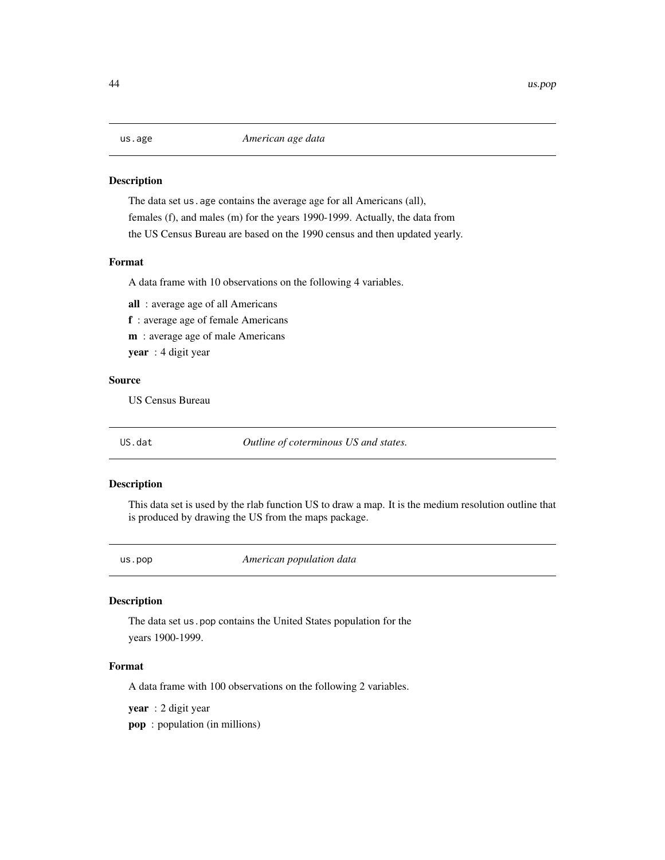<span id="page-43-0"></span>

The data set us . age contains the average age for all Americans (all), females (f), and males (m) for the years 1990-1999. Actually, the data from the US Census Bureau are based on the 1990 census and then updated yearly.

# Format

A data frame with 10 observations on the following 4 variables.

all : average age of all Americans f : average age of female Americans

m : average age of male Americans

year : 4 digit year

### Source

US Census Bureau

US.dat *Outline of coterminous US and states.*

# Description

This data set is used by the rlab function US to draw a map. It is the medium resolution outline that is produced by drawing the US from the maps package.

us.pop *American population data*

#### Description

The data set us.pop contains the United States population for the years 1900-1999.

# Format

A data frame with 100 observations on the following 2 variables.

year : 2 digit year

pop : population (in millions)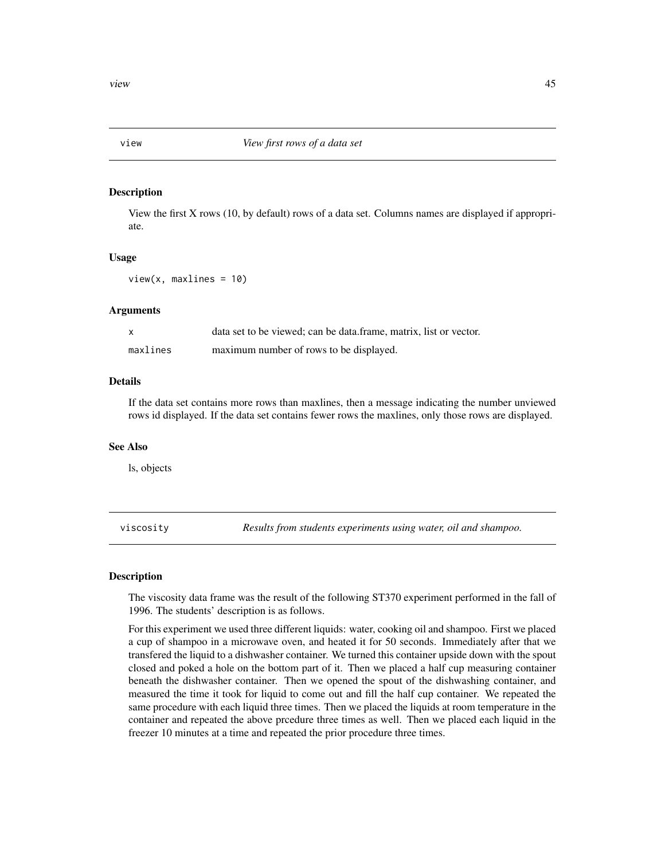<span id="page-44-0"></span>

View the first X rows (10, by default) rows of a data set. Columns names are displayed if appropriate.

#### Usage

 $view(x, maxlines = 10)$ 

# Arguments

| X        | data set to be viewed; can be data frame, matrix, list or vector. |
|----------|-------------------------------------------------------------------|
| maxlines | maximum number of rows to be displayed.                           |

#### Details

If the data set contains more rows than maxlines, then a message indicating the number unviewed rows id displayed. If the data set contains fewer rows the maxlines, only those rows are displayed.

#### See Also

ls, objects

viscosity *Results from students experiments using water, oil and shampoo.*

#### Description

The viscosity data frame was the result of the following ST370 experiment performed in the fall of 1996. The students' description is as follows.

For this experiment we used three different liquids: water, cooking oil and shampoo. First we placed a cup of shampoo in a microwave oven, and heated it for 50 seconds. Immediately after that we transfered the liquid to a dishwasher container. We turned this container upside down with the spout closed and poked a hole on the bottom part of it. Then we placed a half cup measuring container beneath the dishwasher container. Then we opened the spout of the dishwashing container, and measured the time it took for liquid to come out and fill the half cup container. We repeated the same procedure with each liquid three times. Then we placed the liquids at room temperature in the container and repeated the above prcedure three times as well. Then we placed each liquid in the freezer 10 minutes at a time and repeated the prior procedure three times.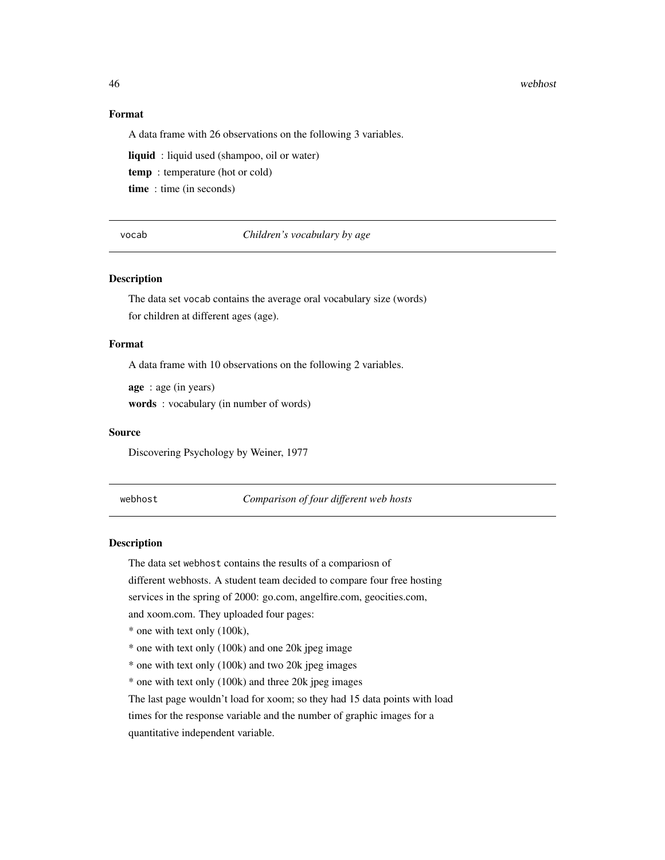#### 46 webhost

# Format

A data frame with 26 observations on the following 3 variables.

liquid : liquid used (shampoo, oil or water)

temp : temperature (hot or cold)

time : time (in seconds)

vocab *Children's vocabulary by age*

#### Description

The data set vocab contains the average oral vocabulary size (words) for children at different ages (age).

#### Format

A data frame with 10 observations on the following 2 variables.

age : age (in years) words : vocabulary (in number of words)

#### Source

Discovering Psychology by Weiner, 1977

webhost *Comparison of four different web hosts*

# **Description**

The data set webhost contains the results of a compariosn of

different webhosts. A student team decided to compare four free hosting

services in the spring of 2000: go.com, angelfire.com, geocities.com,

and xoom.com. They uploaded four pages:

\* one with text only (100k),

\* one with text only (100k) and one 20k jpeg image

\* one with text only (100k) and two 20k jpeg images

\* one with text only (100k) and three 20k jpeg images

The last page wouldn't load for xoom; so they had 15 data points with load times for the response variable and the number of graphic images for a quantitative independent variable.

<span id="page-45-0"></span>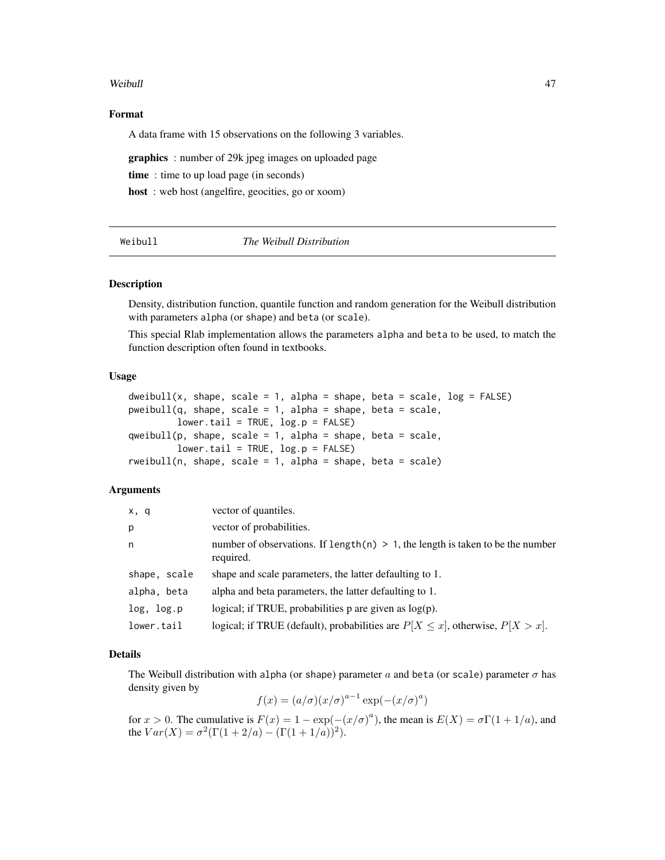#### <span id="page-46-0"></span>Weibull **Algebra** 2003 **Algebra 2013**

#### Format

A data frame with 15 observations on the following 3 variables.

graphics : number of 29k jpeg images on uploaded page

time : time to up load page (in seconds)

host : web host (angelfire, geocities, go or xoom)

| Weibull |  |  |  |
|---------|--|--|--|
|         |  |  |  |
|         |  |  |  |
|         |  |  |  |

#### Weibull *The Weibull Distribution*

#### <span id="page-46-1"></span>Description

Density, distribution function, quantile function and random generation for the Weibull distribution with parameters alpha (or shape) and beta (or scale).

This special Rlab implementation allows the parameters alpha and beta to be used, to match the function description often found in textbooks.

# Usage

```
dweibull(x, shape, scale = 1, alpha = shape, beta = scale, log = FALSE)
pweibull(q, shape, scale = 1, alpha = shape, beta = scale,lower.tail = TRUE, log.p = FALSE)qweibull(p, shape, scale = 1, alpha = shape, beta = scale,lower.tail = TRUE, log.p = FALSE)rweibull(n, shape, scale = 1, alpha = shape, beta = scale)
```
# Arguments

| x, q         | vector of quantiles.                                                                           |
|--------------|------------------------------------------------------------------------------------------------|
| p            | vector of probabilities.                                                                       |
| n            | number of observations. If length(n) $> 1$ , the length is taken to be the number<br>required. |
| shape, scale | shape and scale parameters, the latter defaulting to 1.                                        |
| alpha, beta  | alpha and beta parameters, the latter defaulting to 1.                                         |
| log, log.p   | logical; if TRUE, probabilities $p$ are given as $log(p)$ .                                    |
| lower.tail   | logical; if TRUE (default), probabilities are $P[X \le x]$ , otherwise, $P[X > x]$ .           |

#### Details

The Weibull distribution with alpha (or shape) parameter a and beta (or scale) parameter  $\sigma$  has density given by

$$
f(x) = (a/\sigma)(x/\sigma)^{a-1} \exp(-(x/\sigma)^a)
$$

for  $x > 0$ . The cumulative is  $F(x) = 1 - \exp(-(x/\sigma)^a)$ , the mean is  $E(X) = \sigma \Gamma(1 + 1/a)$ , and the  $Var(X) = \sigma^2(\Gamma(1 + 2/a) - (\Gamma(1 + 1/a))^2)$ .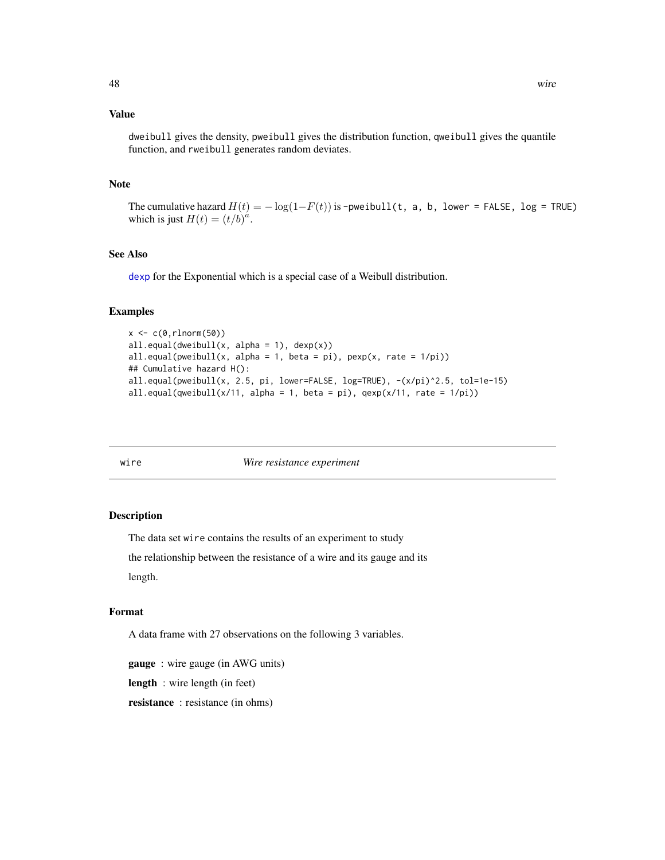## <span id="page-47-0"></span>Value

dweibull gives the density, pweibull gives the distribution function, qweibull gives the quantile function, and rweibull generates random deviates.

#### **Note**

The cumulative hazard  $H(t) = -\log(1-F(t))$  is -pweibull(t, a, b, lower = FALSE, log = TRUE) which is just  $H(t) = (t/b)^{a}$ .

#### See Also

[dexp](#page-15-1) for the Exponential which is a special case of a Weibull distribution.

#### Examples

```
x < -c(0, rlnorm(50))all.equals(dweibull(x, alpha = 1), dexp(x))all.equals(pweibull(x, alpha = 1, beta = pi), pexp(x, rate = 1/pi))## Cumulative hazard H():
all.equal(pweibull(x, 2.5, pi, lower=FALSE, log=TRUE), -(x/pi)^2.5, tol=1e-15)
all.equal(qweibull(x/11, alpha = 1, beta = pi), qexp(x/11, rate = 1/pi))
```
#### wire *Wire resistance experiment*

#### Description

The data set wire contains the results of an experiment to study

the relationship between the resistance of a wire and its gauge and its length.

#### Format

A data frame with 27 observations on the following 3 variables.

gauge : wire gauge (in AWG units)

length : wire length (in feet)

resistance : resistance (in ohms)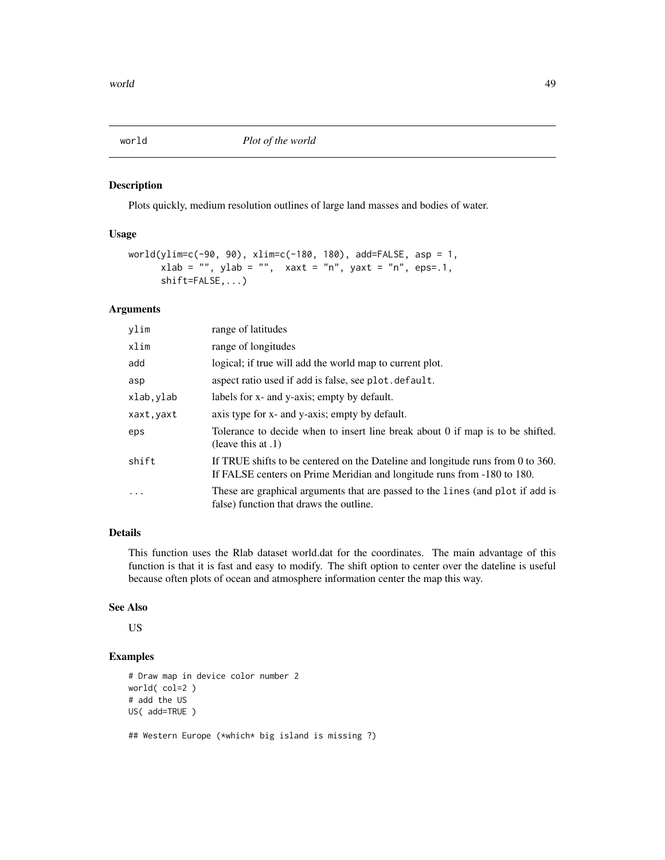<span id="page-48-0"></span>

Plots quickly, medium resolution outlines of large land masses and bodies of water.

#### Usage

```
world(ylim=c(-90, 90), xlim=c(-180, 180), add=FALSE, asp = 1,
     xlab = "", ylab = "", xaxt = "n", yaxt = "n", eps=0.1shift=FALSE,...)
```
# Arguments

| ylim       | range of latitudes                                                                                                                                         |
|------------|------------------------------------------------------------------------------------------------------------------------------------------------------------|
| xlim       | range of longitudes                                                                                                                                        |
| add        | logical; if true will add the world map to current plot.                                                                                                   |
| asp        | aspect ratio used if add is false, see plot. default.                                                                                                      |
| xlab, ylab | labels for x- and y-axis; empty by default.                                                                                                                |
| xaxt, yaxt | axis type for x- and y-axis; empty by default.                                                                                                             |
| eps        | Tolerance to decide when to insert line break about 0 if map is to be shifted.<br>(leave this at $.1$ )                                                    |
| shift      | If TRUE shifts to be centered on the Dateline and longitude runs from 0 to 360.<br>If FALSE centers on Prime Meridian and longitude runs from -180 to 180. |
| $\ddotsc$  | These are graphical arguments that are passed to the lines (and plot if add is<br>false) function that draws the outline.                                  |

# Details

This function uses the Rlab dataset world.dat for the coordinates. The main advantage of this function is that it is fast and easy to modify. The shift option to center over the dateline is useful because often plots of ocean and atmosphere information center the map this way.

# See Also

US

# Examples

```
# Draw map in device color number 2
world( col=2 )
# add the US
US( add=TRUE )
```
## Western Europe (\*which\* big island is missing ?)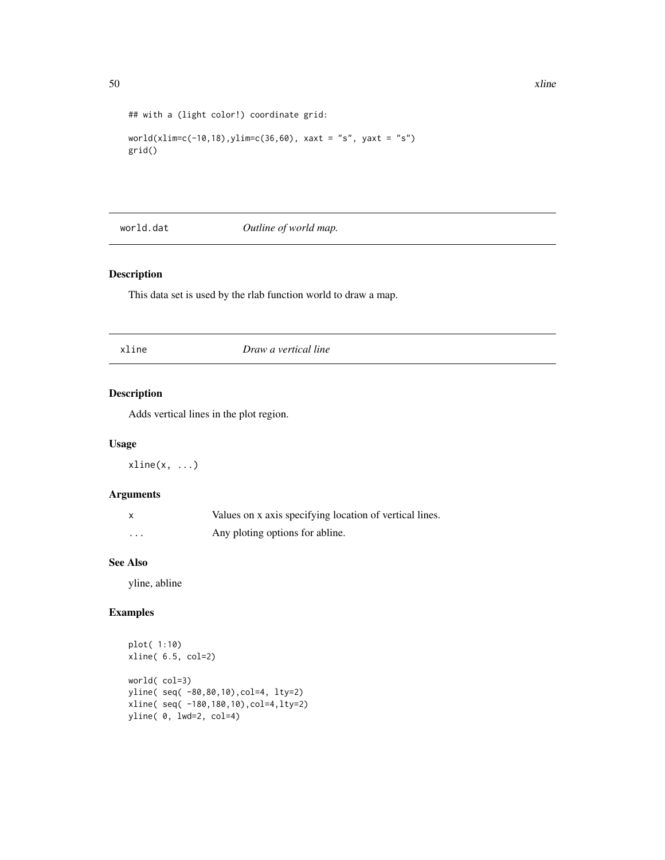```
## with a (light color!) coordinate grid:
```

```
world(xlim=c(-10,18),ylim=c(36,60), xaxt = "s", yaxt = "s")
grid()
```
world.dat *Outline of world map.*

# Description

This data set is used by the rlab function world to draw a map.

| xline | Draw a vertical line |
|-------|----------------------|
|       |                      |

# Description

Adds vertical lines in the plot region.

# Usage

 $xline(x, \ldots)$ 

# Arguments

|          | Values on x axis specifying location of vertical lines. |
|----------|---------------------------------------------------------|
| $\cdots$ | Any ploting options for abline.                         |

# See Also

yline, abline

```
plot( 1:10)
xline( 6.5, col=2)
world( col=3)
yline( seq( -80,80,10),col=4, lty=2)
xline( seq( -180,180,10),col=4,lty=2)
yline( 0, lwd=2, col=4)
```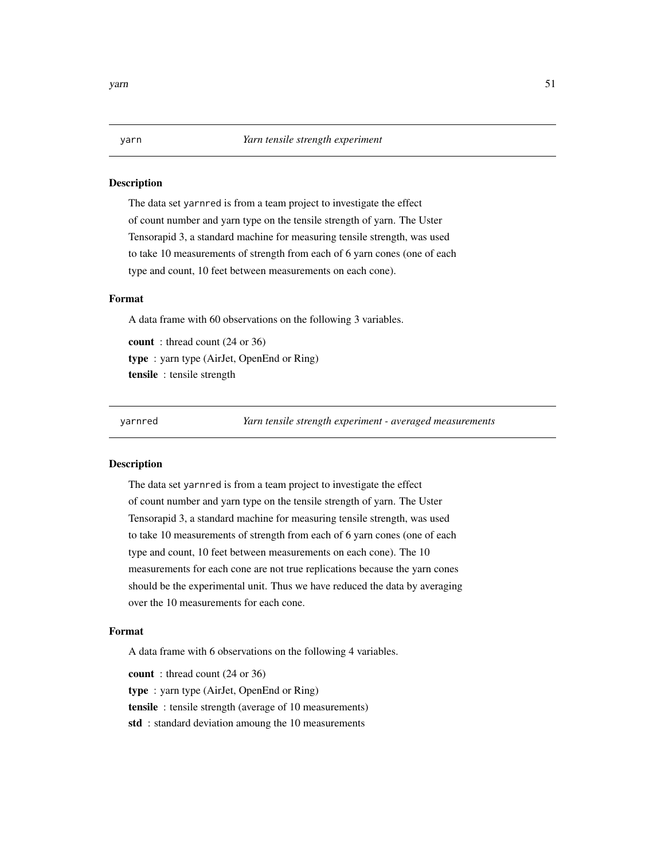The data set yarnred is from a team project to investigate the effect of count number and yarn type on the tensile strength of yarn. The Uster Tensorapid 3, a standard machine for measuring tensile strength, was used to take 10 measurements of strength from each of 6 yarn cones (one of each type and count, 10 feet between measurements on each cone).

# Format

A data frame with 60 observations on the following 3 variables.

count : thread count (24 or 36) type : yarn type (AirJet, OpenEnd or Ring) tensile : tensile strength

yarnred *Yarn tensile strength experiment - averaged measurements*

#### Description

The data set yarnred is from a team project to investigate the effect of count number and yarn type on the tensile strength of yarn. The Uster Tensorapid 3, a standard machine for measuring tensile strength, was used to take 10 measurements of strength from each of 6 yarn cones (one of each type and count, 10 feet between measurements on each cone). The 10 measurements for each cone are not true replications because the yarn cones should be the experimental unit. Thus we have reduced the data by averaging over the 10 measurements for each cone.

## Format

A data frame with 6 observations on the following 4 variables.

count : thread count (24 or 36) type : yarn type (AirJet, OpenEnd or Ring) tensile : tensile strength (average of 10 measurements) std : standard deviation amoung the 10 measurements

<span id="page-50-0"></span>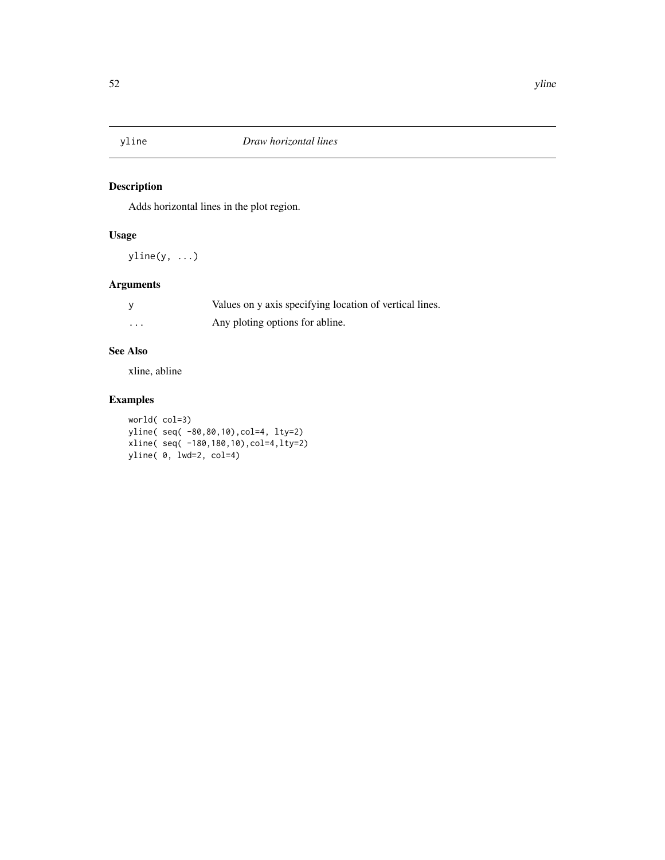<span id="page-51-0"></span>

Adds horizontal lines in the plot region.

# Usage

yline(y, ...)

# Arguments

|          | Values on y axis specifying location of vertical lines. |
|----------|---------------------------------------------------------|
| $\cdots$ | Any ploting options for abline.                         |

# See Also

xline, abline

```
world( col=3)
yline( seq( -80,80,10),col=4, lty=2)
xline( seq( -180,180,10),col=4,lty=2)
yline( 0, lwd=2, col=4)
```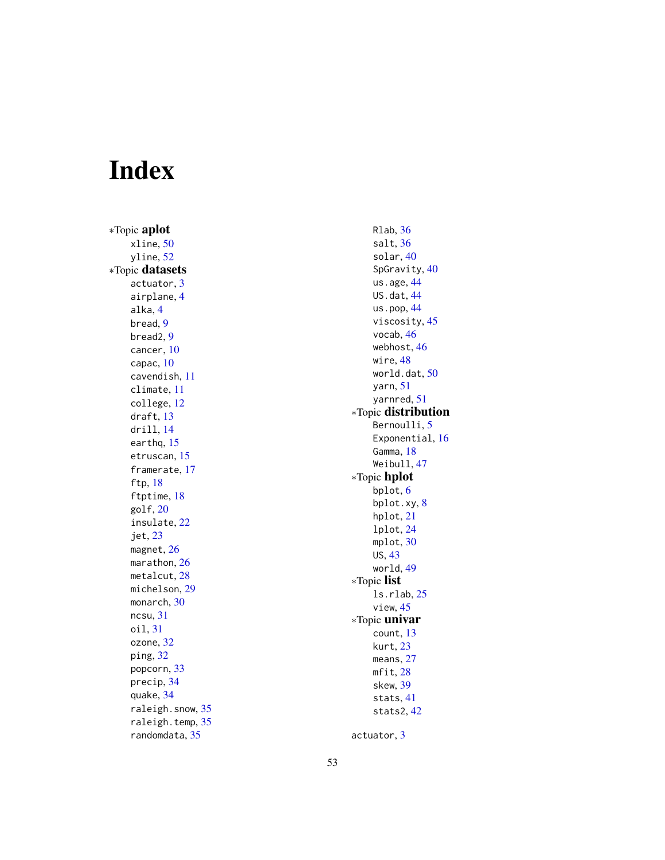# <span id="page-52-0"></span>Index

∗Topic aplot xline , [50](#page-49-0) yline , [52](#page-51-0) ∗Topic datasets actuator , [3](#page-2-0) airplane , [4](#page-3-0) alka , [4](#page-3-0) bread , [9](#page-8-0) bread2 , [9](#page-8-0) cancer , [10](#page-9-0) capac , [10](#page-9-0) cavendish , [11](#page-10-0) climate , [11](#page-10-0) college , [12](#page-11-0) draft , [13](#page-12-0) drill , [14](#page-13-0) earthq, [15](#page-14-0) etruscan , [15](#page-14-0) framerate , [17](#page-16-0) ftp , [18](#page-17-0) ftptime , [18](#page-17-0) golf , [20](#page-19-0) insulate , [22](#page-21-0) jet , [23](#page-22-0) magnet , [26](#page-25-0) marathon, [26](#page-25-0) metalcut, [28](#page-27-0) michelson , [29](#page-28-0) monarch, [30](#page-29-0) ncsu , [31](#page-30-0) oil , [31](#page-30-0) ozone , [32](#page-31-0) ping , [32](#page-31-0) popcorn , [33](#page-32-0) precip , [34](#page-33-0) quake , [34](#page-33-0) raleigh.snow , [35](#page-34-0) raleigh.temp, [35](#page-34-0) randomdata , [35](#page-34-0)

Rlab , [36](#page-35-0) salt , [36](#page-35-0) solar , [40](#page-39-0) SpGravity, [40](#page-39-0) us.age, [44](#page-43-0) US.dat, [44](#page-43-0) us.pop, [44](#page-43-0) viscosity , [45](#page-44-0) vocab , [46](#page-45-0) webhost , [46](#page-45-0) wire , [48](#page-47-0) world.dat, $50$ yarn , [51](#page-50-0) yarnred , [51](#page-50-0) ∗Topic distribution Bernoulli, <mark>[5](#page-4-0)</mark> Exponential, [16](#page-15-0) Gamma, [18](#page-17-0) Weibull , [47](#page-46-0) ∗Topic hplot bplot , [6](#page-5-0) bplot.xy , [8](#page-7-0) hplot , [21](#page-20-0) lplot , [24](#page-23-0) mplot, [30](#page-29-0) US , [43](#page-42-0) world , [49](#page-48-0) ∗Topic list ls.rlab , [25](#page-24-0) view , [45](#page-44-0) ∗Topic univar count , [13](#page-12-0) kurt , [23](#page-22-0) means , [27](#page-26-0) mfit , [28](#page-27-0) skew , [39](#page-38-0) stats , [41](#page-40-0) stats2 , [42](#page-41-0)

actuator , [3](#page-2-0)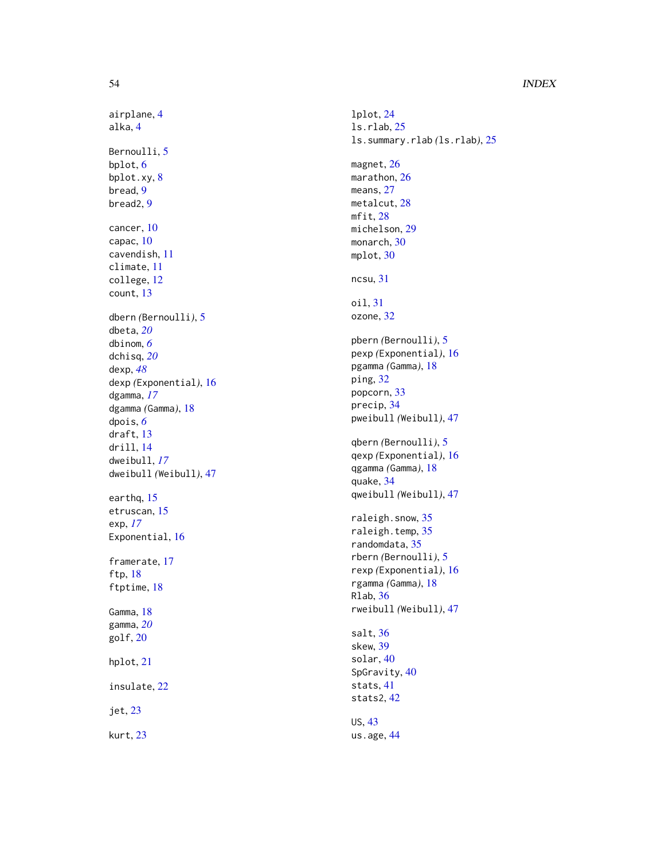# 54 INDEX

airplane , [4](#page-3-0) alka , [4](#page-3-0) Bernoulli, <mark>[5](#page-4-0)</mark> bplot , [6](#page-5-0) bplot.xy , [8](#page-7-0) bread , [9](#page-8-0) bread2 , [9](#page-8-0) cancer , [10](#page-9-0) capac , [10](#page-9-0) cavendish , [11](#page-10-0) climate , [11](#page-10-0) college , [12](#page-11-0) count , [13](#page-12-0) dbern *(*Bernoulli *)* , [5](#page-4-0) dbeta , *[20](#page-19-0)* dbinom , *[6](#page-5-0)* dchisq , *[20](#page-19-0)* dexp , *[48](#page-47-0)* dexp *(*Exponential *)* , [16](#page-15-0) dgamma , *[17](#page-16-0)* dgamma *(*Gamma *)* , [18](#page-17-0) dpois , *[6](#page-5-0)* draft , [13](#page-12-0) drill , [14](#page-13-0) dweibull , *[17](#page-16-0)* dweibull *(*Weibull *)* , [47](#page-46-0) earthq, [15](#page-14-0) etruscan , [15](#page-14-0) exp , *[17](#page-16-0)* Exponential, [16](#page-15-0) framerate , [17](#page-16-0) ftp , [18](#page-17-0) ftptime , [18](#page-17-0) Gamma, [18](#page-17-0) gamma , *[20](#page-19-0)* golf , [20](#page-19-0) hplot , [21](#page-20-0) insulate , [22](#page-21-0) jet , [23](#page-22-0)

kurt , [23](#page-22-0)

lplot , [24](#page-23-0) ls.rlab , [25](#page-24-0) ls.summary.rlab *(*ls.rlab *)* , [25](#page-24-0) magnet, [26](#page-25-0) marathon, [26](#page-25-0) means, [27](#page-26-0) metalcut , [28](#page-27-0) mfit , [28](#page-27-0) michelson , [29](#page-28-0) monarch, [30](#page-29-0) mplot , [30](#page-29-0) ncsu , [31](#page-30-0) oil , [31](#page-30-0) ozone , [32](#page-31-0) pbern *(*Bernoulli *)* , [5](#page-4-0) pexp *(*Exponential *)* , [16](#page-15-0) pgamma *(*Gamma *)* , [18](#page-17-0) ping , [32](#page-31-0) popcorn , [33](#page-32-0) precip , [34](#page-33-0) pweibull *(*Weibull *)* , [47](#page-46-0) qbern *(*Bernoulli *)* , [5](#page-4-0) qexp *(*Exponential *)* , [16](#page-15-0) qgamma *(*Gamma *)* , [18](#page-17-0) quake , [34](#page-33-0) qweibull *(*Weibull *)* , [47](#page-46-0) raleigh.snow , [35](#page-34-0) raleigh.temp, [35](#page-34-0) randomdata , [35](#page-34-0) rbern *(*Bernoulli *)* , [5](#page-4-0) rexp *(*Exponential *)* , [16](#page-15-0) rgamma *(*Gamma *)* , [18](#page-17-0) Rlab , [36](#page-35-0) rweibull *(*Weibull *)* , [47](#page-46-0) salt , [36](#page-35-0) skew , [39](#page-38-0) solar , [40](#page-39-0) SpGravity, [40](#page-39-0) stats , [41](#page-40-0) stats2 , [42](#page-41-0) US , [43](#page-42-0) us.age, [44](#page-43-0)